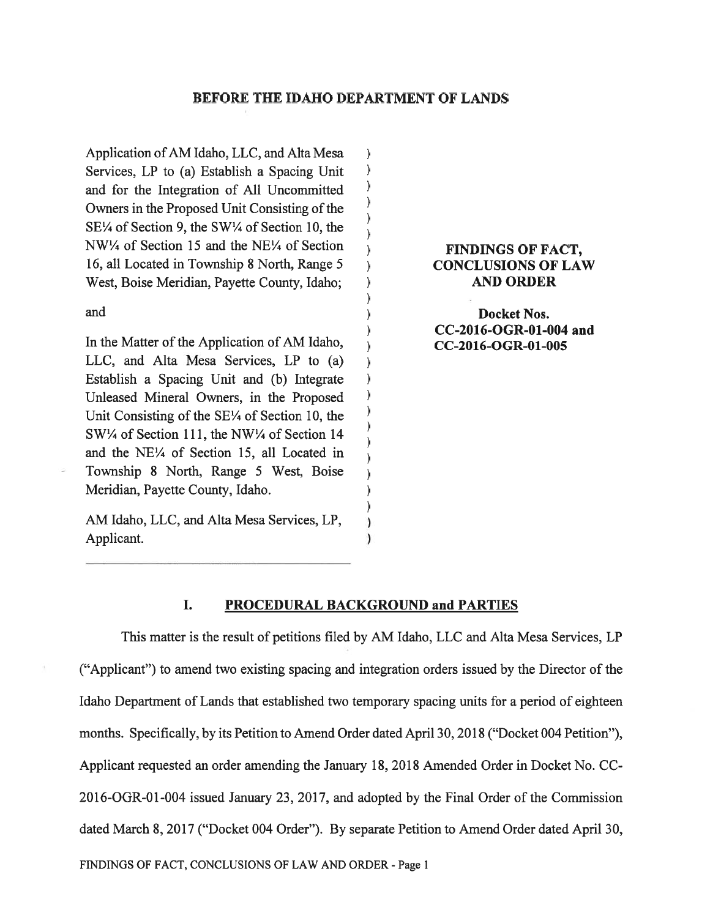## BEFORE THE IDAHO DEPARTMENT OF LANDS

 $\lambda$  $\lambda$  $\lambda$  $\lambda$  $\lambda$  $\lambda$ 

 $\lambda$ 

 $\lambda$ 

 $\lambda$  $\lambda$  $\lambda$  $\lambda$  $\lambda$  $\lambda$  $\lambda$  $\lambda$  $\mathcal{E}$  $\lambda$  $\lambda$  $\lambda$ 

Application ofAM Idaho, LLC, and Alta Mesa Services, LP to (a) Establish <sup>a</sup> Spacing Unit and for the Integration of All Uncommitted Owners in the Proposed Unit Consisting of the SE¼ of Section 9, the \$W¼ of Section 10, the NW<sup>1</sup>/4 of Section 15 and the NE<sup>1/4</sup> of Section  $\overrightarrow{)}$  FINDINGS OF FACT, 16, all Located in Township 8 North, Range 5 (CONCLUSIONS OF LAW West, Boise Meridian, Payette County, Idaho; ) AND ORDER

In the Matter of the Application of AM Idaho,  $\overrightarrow{OC\text{-}2016\text{-}OGR\text{-}01\text{-}005}$ LLC, and Alta Mesa Services, LP to (a) Establish <sup>a</sup> Spacing Unit and (b) Integrate Unleased Mineral Owners, in the Proposed Unit Consisting of the 5E¼ of Section 10, the 5W¼ of Section 111, the NW¼ of Section 14 and the NE¼ of Section 15, all Located in Township 8 North, Range 5 West, Boise Meridian, Payette County, Idaho.

AM Idaho, LLC, and Alta Mesa Services, LP, Applicant.

and **Docket Nos.** (and  $\overline{a}$ ) Docket Nos. CC-2016-OGR-O1-004 and

#### I. PROCEDURAL BACKGROUND and PARTIES

This matter is the result of petitions filed by AM Idaho, LLC and Alta Mesa Services, LP ("Applicant") to amend two existing spacing and integration orders issued by the Director of the Idaho Department of Lands that established two temporary spacing units for <sup>a</sup> period of eighteen months. Specifically, by its Petition to Amend Order dated April 30, 2012 ("Docket 004 Petition"), Applicant requested an order amending the January 18, 2018 Amended Order in Docket No. CC-2016-OGR-01-004 issued January 23, 2017, and adopted by the Final Order of the Commission dated March 8, 2017 ("Docket 004 Order"). By separate Petition to Amend Order dated April 30,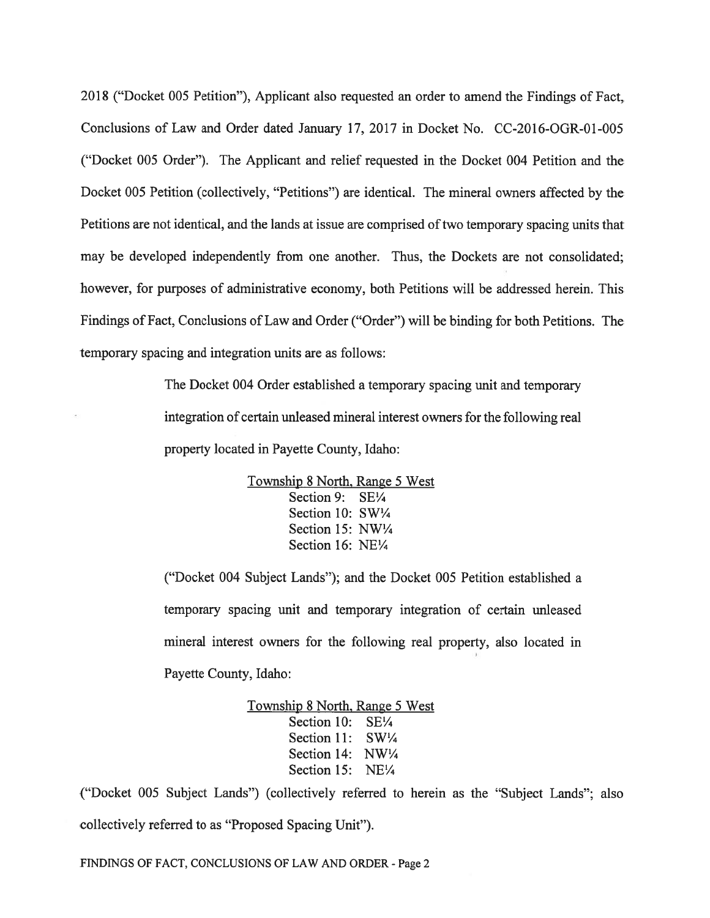201\$ ("Docket <sup>005</sup> Petition"), Applicant also requested an order to amend the Findings of Fact, Conclusions of Law and Order dated January 17, 2017 in Docket No. CC-2016-OGR-01-005 ("Docket 005 Order"). The Applicant and relief requested in the Docket 004 Petition and the Docket 005 Petition (collectively, "Petitions") are identical. The mineral owners affected by the Petitions are not identical, and the lands at issue are comprised oftwo temporary spacing units that may be developed independently from one another. Thus, the Dockets are not consolidated; however, for purposes of administrative economy, both Petitions will be addressed herein. This findings of Fact, Conclusions of Law and Order ("Order") will be binding for both Petitions. The temporary spacing and integration units are as follows:

> The Docket 004 Order established <sup>a</sup> temporary spacing unit and temporary integration of certain unleased mineral interest owners for the following real property located in Payette County, Idaho:

> > Township \$ North, Range 5 West Section 9: SE1/4 Section 10: SW1/4 Section 15: NW¼ Section 16: NE'/4

("Docket 004 Subject Lands"); and the Docket 005 Petition established <sup>a</sup> temporary spacing unit and temporary integration of certain unleased mineral interest owners for the following real property, also located in Payette County, Idaho:

> Township \$ North, Range 5 West Section 10: SE1/4 Section 11: SW1/4 Section 14: NW1/4 Section 15: NE¼

("Docket 005 Subject Lands") (collectively referred to herein as the "Subject Lands"; also collectively referred to as "Proposed Spacing Unit").

FINDINGS OF FACT, CONCLUSIONS OF LAW AND ORDER - Page 2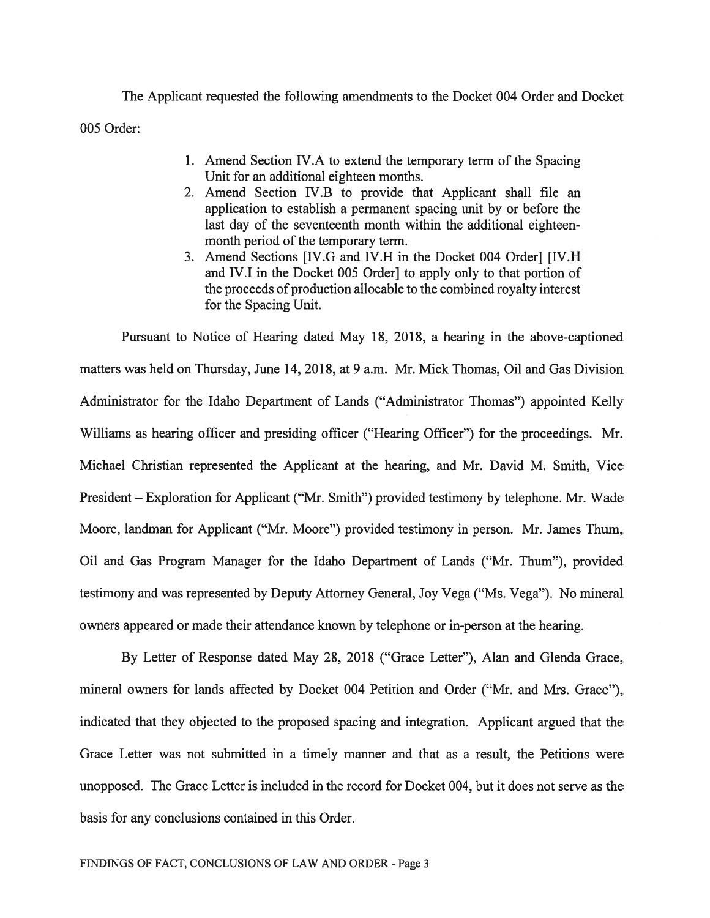The Applicant requested the following amendments to the Docket 004 Order and Docket 005 Order:

- 1. Amend Section IV.A to extend the temporary term of the Spacing Unit for an additional eighteen months.
- 2. Amend Section IV.B to provide that Applicant shall file an application to establish <sup>a</sup> permanen<sup>t</sup> spacing unit by or before the last day of the seventeenth month within the additional eighteenmonth period of the temporary term.
- 3. Amend Sections [IV.G and IV.H in the Docket 004 Order] [IV.H and IV.I in the Docket 005 Order] to apply only to that portion of the proceeds of production allocable to the combined royalty interest for the Spacing Unit.

Pursuant to Notice of Hearing dated May 18, 2018, <sup>a</sup> hearing in the above-captioned matters was held on Thursday, June 14, 2018, at 9 a.m. Mr. Mick Thomas, Oil and Gas Division Administrator for the Idaho Department of Lands ("Administrator Thomas") appointed Kelly Williams as hearing officer and presiding officer ("Hearing Officer") for the proceedings. Mr. Michael Christian represented the Applicant at the hearing, and Mr. David M. Smith, Vice President — Exploration for Applicant ("Mr. Smith") provided testimony by telephone. Mr. Wade Moore, landman for Applicant ("Mr. Moore") provided testimony in person. Mr. James Thum, Oil and Gas Program Manager for the Idaho Department of Lands ("Mr. Thum"), provided testimony and was represented by Deputy Attorney General, Joy Vega ("Ms. Vega"). No mineral owners appeared or made their attendance known by telephone or in-person at the hearing.

By Letter of Response dated May 2\$, 201\$ ("Grace Letter"), Alan and Glenda Grace, mineral owners for lands affected by Docket 004 Petition and Order ("Mr. and Mrs. Grace"), indicated that they objected to the proposed spacing and integration. Applicant argued that the Grace Letter was not submitted in <sup>a</sup> timely manner and that as <sup>a</sup> result, the Petitions were unopposed. The Grace Letter is included in the record for Docket 004, but it does not serve as the basis for any conclusions contained in this Order.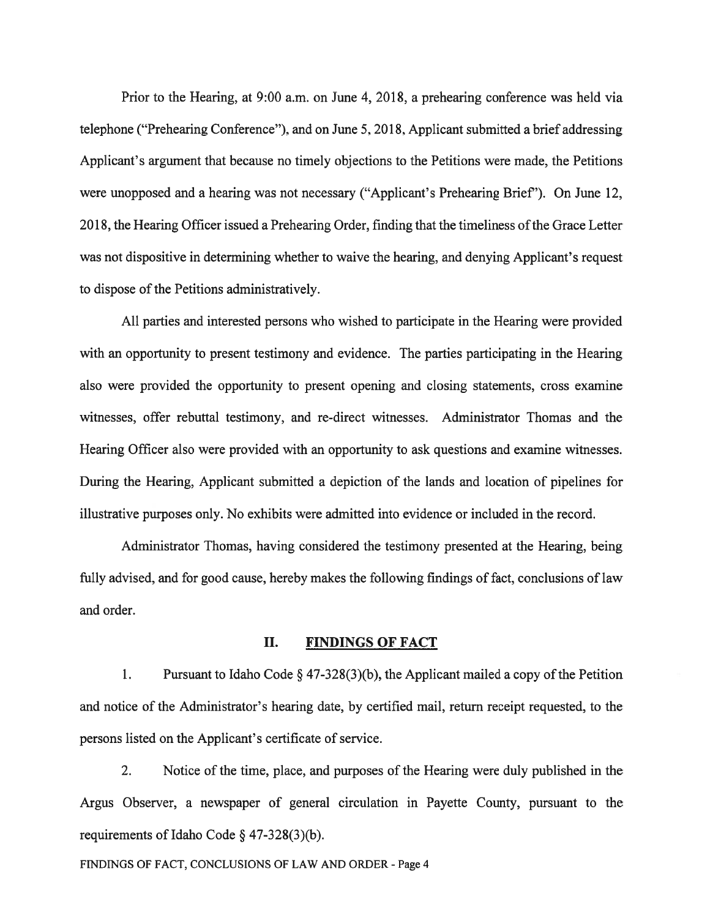Prior to the Hearing, at 9:00 a.m. on June 4, 2018, <sup>a</sup> prehearing conference was held via telephone ("Prehearing Conference"), and on June 5, 2018, Applicant submitted <sup>a</sup> brief addressing Applicant's argumen<sup>t</sup> that because no timely objections to the Petitions were made, the Petitions were unopposed and <sup>a</sup> hearing was not necessary ("Applicant's Prehearing Brief'). On June 12, 2018, the Hearing Officer issued a Prehearing Order, finding that the timeliness of the Grace Letter was not dispositive in determining whether to waive the hearing, and denying Applicant's reques<sup>t</sup> to dispose of the Petitions administratively.

All parties and interested persons who wished to participate in the Hearing were provided with an opportunity to presen<sup>t</sup> testimony and evidence. The parties participating in the Hearing also were provided the opportunity to presen<sup>t</sup> opening and closing statements, cross examine witnesses, offer rebuttal testimony, and re-direct witnesses. Administrator Thomas and the Hearing Officer also were provided with an opportunity to ask questions and examine witnesses. During the Hearing, Applicant submitted <sup>a</sup> depiction of the lands and location of pipelines for illustrative purposes only. No exhibits were admitted into evidence or included in the record.

Administrator Thomas, having considered the testimony presented at the Hearing, being fully advised, and for good cause, hereby makes the following findings of fact, conclusions of law and order.

#### II. FINDINGS OF FACT

1. Pursuant to Idaho Code  $\S$  47-328(3)(b), the Applicant mailed a copy of the Petition and notice of the Administrator's hearing date, by certified mail, return receipt requested, to the persons listed on the Applicant's certificate of service.

2. Notice of the time, place, and purposes of the Hearing were duly published in the Argus Observer, <sup>a</sup> newspaper of general circulation in Payette County, pursuan<sup>t</sup> to the requirements of Idaho Code § 47-328(3)(b).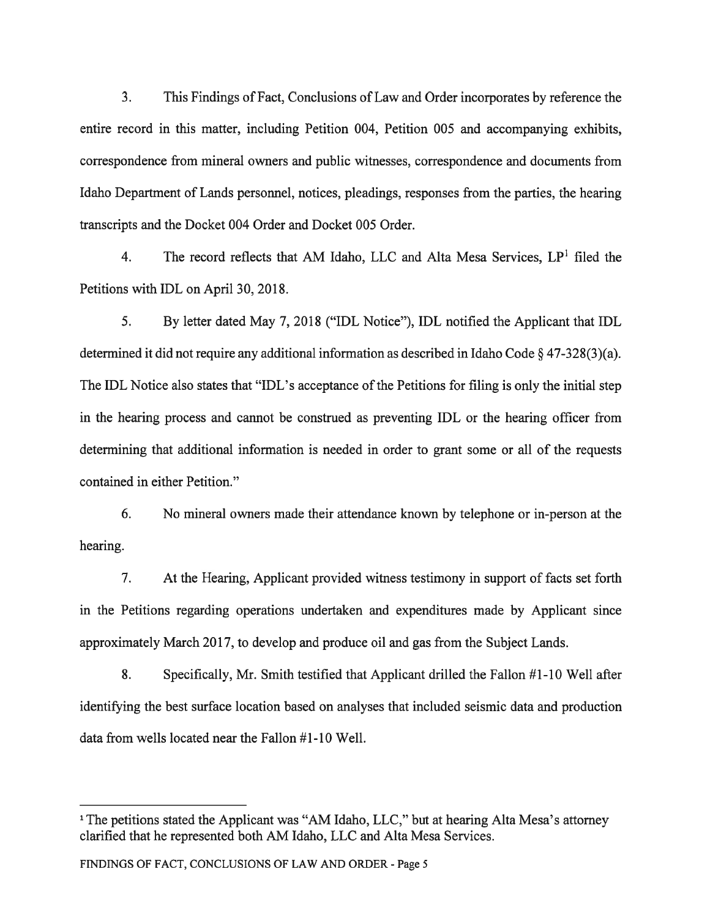3. This Findings of Fact, Conclusions ofLaw and Order incorporates by reference the entire record in this matter, including Petition 004, Petition 005 and accompanying exhibits, correspondence from mineral owners and public witnesses, correspondence and documents from Idaho Department of Lands personnel, notices, pleadings, responses from the parties, the hearing transcripts and the Docket 004 Order and Docket 005 Order.

4. The record reflects that AM Idaho, LLC and Alta Mesa Services, LP' filed the Petitions with IDL on April 30, 2018.

5. By letter dated May 7, 2018 ("IDL Notice"), IDL notified the Applicant that IDL determined it did not require any additional information as described in Idaho Code § 47-328(3)(a). The IDL Notice also states that "IDL's acceptance of the Petitions for filing is only the initial step in the hearing process and cannot be construed as preventing IDL or the hearing officer from determining that additional information is needed in order to gran<sup>t</sup> some or all of the requests contained in either Petition."

6. No mineral owners made their attendance known by telephone or in-person at the hearing.

7. At the Hearing, Applicant provided witness testimony in suppor<sup>t</sup> of facts set forth in the Petitions regarding operations undertaken and expenditures made by Applicant since approximately March 2017, to develop and produce oil and gas from the Subject Lands.

8. Specifically, Mr. Smith testified that Applicant drilled the Fallon #1-10 Well after identifying the best surface location based on analyses that included seismic data and production data from wells located near the Fallon #1-10 Well.

<sup>&</sup>lt;sup>1</sup> The petitions stated the Applicant was "AM Idaho, LLC," but at hearing Alta Mesa's attorney clarified that he represented both AM Idaho, LLC and Alta Mesa Services.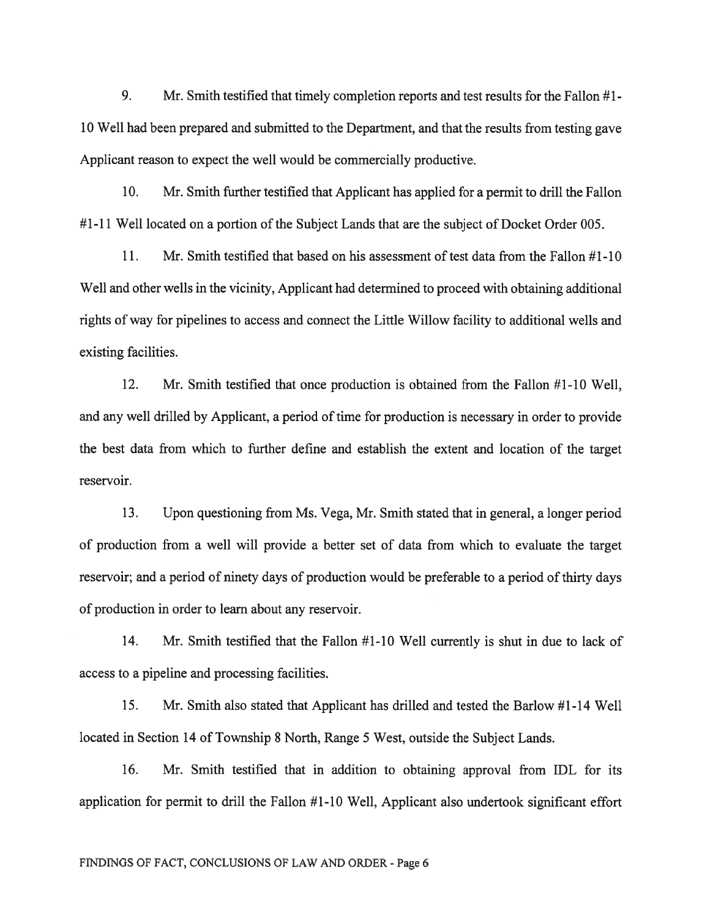9. Mr. Smith testified that timely completion reports and test results for the Fallon #1- 10 Well had been prepared and submitted to the Department, and that the results from testing gave Applicant reason to expec<sup>t</sup> the well would be commercially productive.

10. Mr. Smith further testified that Applicant has applied for <sup>a</sup> permit to drill the Fallon #1-11 Well located on <sup>a</sup> portion of the Subject Lands that are the subject of Docket Order 005.

11. Mr. Smith testified that based on his assessment of test data from the Fallon #1-10 Well and other wells in the vicinity, Applicant had determined to proceed with obtaining additional rights of way for pipelines to access and connect the Little Willow facility to additional wells and existing facilities.

12. Mr. Smith testified that once production is obtained from the Fallon #1-10 Well, and any well drilled by Applicant, <sup>a</sup> period of time for production is necessary in order to provide the best data from which to further define and establish the extent and location of the target reservoir.

13. Upon questioning from Ms. Vega, Mr. Smith stated that in general, <sup>a</sup> longer period of production from <sup>a</sup> well will provide <sup>a</sup> better set of data from which to evaluate the target reservoir; and <sup>a</sup> period of ninety days of production would be preferable to <sup>a</sup> period of thirty days of production in order to learn about any reservoir.

14. Mr. Smith testified that the Fallon #1-10 Well currently is shut in due to lack of access to <sup>a</sup> pipeline and processing facilities.

15. Mr. Smith also stated that Applicant has drilled and tested the Barlow #1-14 Well located in Section 14 of Township 8 North, Range 5 West, outside the Subject Lands.

16. Mr. Smith testified that in addition to obtaining approval from IDL for its application for permit to drill the Fallon #1-10 Well, Applicant also undertook significant effort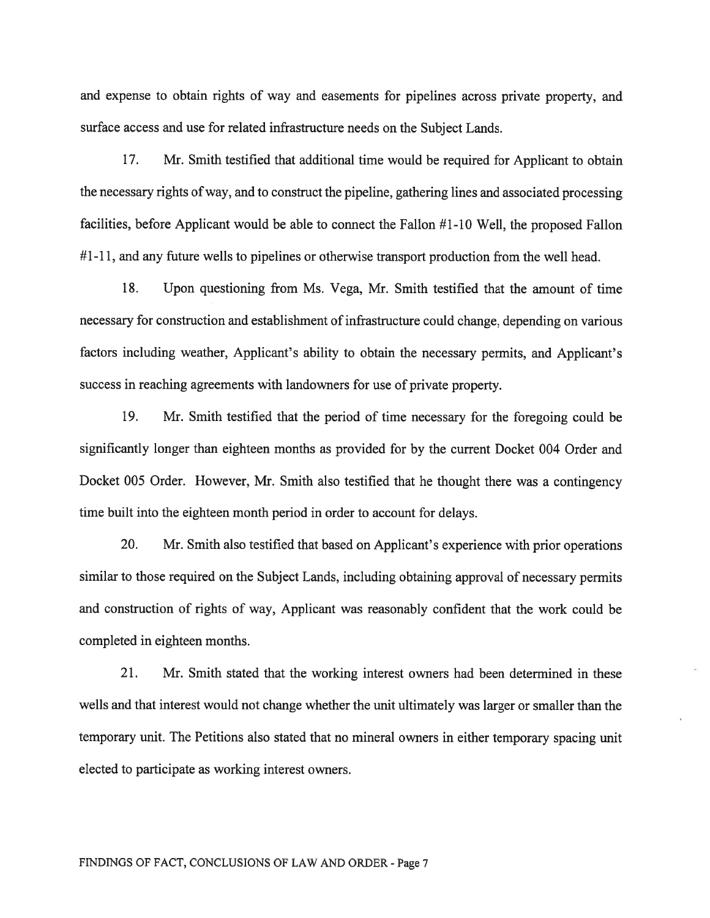and expense to obtain rights of way and easements for <sup>p</sup>ipelines across private property, and surface access and use for related infrastructure needs on the Subject Lands.

17. Mr. Smith testified that additional time would be required for Applicant to obtain the necessary rights of way, and to construct the pipeline, gathering lines and associated processing facilities, before Applicant would be able to connect the fallon #1-10 Well, the proposed Fallon #1-11, and any future wells to pipelines or otherwise transport production from the well head.

1\$. Upon questioning from Ms. Vega, Mr. Smith testified that the amount of time necessary for construction and establishment of infrastructure could change, depending on various factors including weather, Applicant's ability to obtain the necessary permits, and Applicant's success in reaching agreements with landowners for use of private property.

19. Mr. Smith testified that the period of time necessary for the foregoing could be significantly longer than eighteen months as provided for by the current Docket 004 Order and Docket 005 Order. However, Mr. Smith also testified that he thought there was <sup>a</sup> contingency time built into the eighteen month period in order to account for delays.

20. Mr. Smith also testified that based on Applicant's experience with prior operations similar to those required on the Subject Lands, including obtaining approval of necessary permits and construction of rights of way, Applicant was reasonably confident that the work could be completed in eighteen months.

21. Mr. Smith stated that the working interest owners had been determined in these wells and that interest would not change whether the unit ultimately was larger or smaller than the temporary unit. The Petitions also stated that no mineral owners in either temporary spacing unit elected to participate as working interest owners.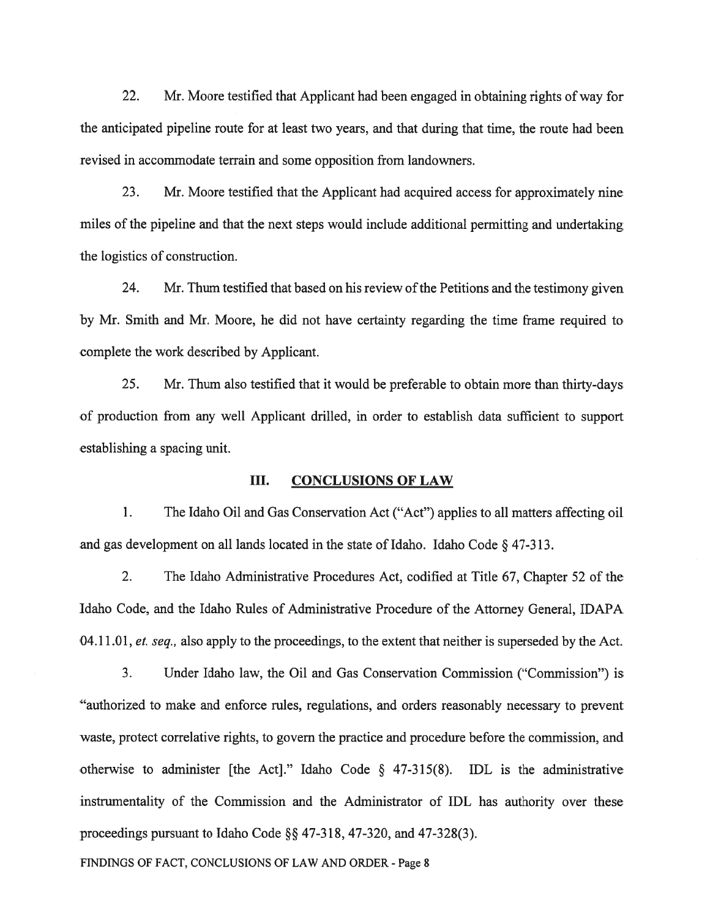22. Mr. Moore testified that Applicant had been engaged in obtaining rights of way for the anticipated pipeline route for at least two years, and that during that time, the route had been revised in accommodate terrain and some opposition from landowners.

23. Mr. Moore testified that the Applicant had acquired access for approximately nine miles of the pipeline and that the next steps would include additional permitting and undertaking the logistics of construction.

24. Mr. Thum testified that based on his review of the Petitions and the testimony given by Mr. Smith and Mr. Moore, he did not have certainty regarding the time frame required to complete the work described by Applicant.

25. Mr. Thum also testified that it would be preferable to obtain more than thirty-days of production from any well Applicant drilled, in order to establish data sufficient to suppor<sup>t</sup> establishing <sup>a</sup> spacing unit.

#### III. CONCLUSIONS OF LAW

1. The Idaho Oil and Gas Conservation Act ("Act") applies to all matters affecting oil and gas development on all lands located in the state of Idaho. Idaho Code  $\S$  47-313.

2. The Idaho Administrative Procedures Act, codified at Title 67, Chapter 52 of the Idaho Code, and the Idaho Rules of Administrative Procedure of the Attorney General, IDAPA 04.11.01, et. seq., also apply to the proceedings, to the extent that neither is superseded by the Act.

3. Under Idaho law, the Oil and Gas Conservation Commission ("Commission") is "authorized to make and enforce rules, regulations, and orders reasonably necessary to preven<sup>t</sup> waste, protect correlative rights, to govern the practice and procedure before the commission, and otherwise to administer [the Act]." Idaho Code § 47-315(8). IDL is the administrative instrumentality of the Commission and the Administrator of IDL has authority over these proceedings pursuant to Idaho Code  $\S$ § 47-318, 47-320, and 47-328(3).

FINDfNGS OF FACT, CONCLUSIONS OF LAW AND ORDER - Page 8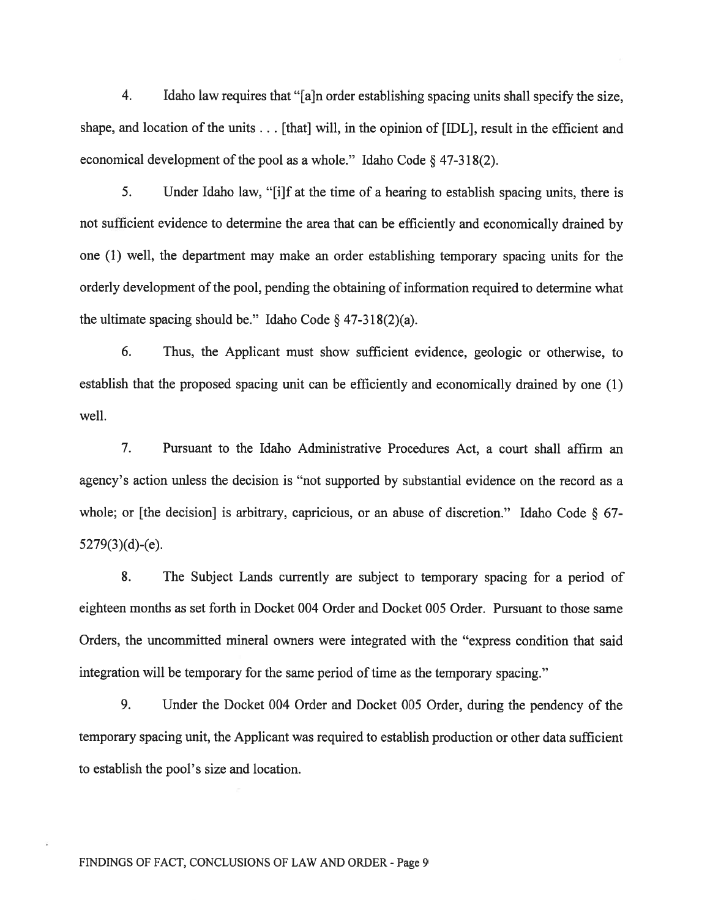4. Idaho law requires that "[a]n order establishing spacing units shall specify the size, shape, and location of the units . . . [that] will, in the opinion of [IDL], result in the efficient and economical development of the pool as a whole." Idaho Code  $\S$  47-318(2).

5. Under Idaho law, "[iJf at the time of <sup>a</sup> hearing to establish spacing units, there is not sufficient evidence to determine the area that can be efficiently and economically drained by one (1) well, the department may make an order establishing temporary spacing units for the orderly development of the pool, pending the obtaining of information required to determine what the ultimate spacing should be." Idaho Code  $\S$  47-318(2)(a).

6. Thus, the Applicant must show sufficient evidence, geologic or otherwise, to establish that the proposed spacing unit can be efficiently and economically drained by one (1) well.

7. Pursuant to the Idaho Administrative Procedures Act, <sup>a</sup> court shall affirm an agency's action unless the decision is "not supported by substantial evidence on the record as <sup>a</sup> whole; or [the decision] is arbitrary, capricious, or an abuse of discretion." Idaho Code § 67-  $5279(3)(d)-(e)$ .

8. The Subject Lands currently are subject to temporary spacing for <sup>a</sup> period of eighteen months as set forth in Docket 004 Order and Docket 005 Order. Pursuant to those same Orders, the uncommitted mineral owners were integrated with the "express condition that said integration will be temporary for the same period of time as the temporary spacing."

9. Under the Docket 004 Order and Docket 005 Order, during the pendency of the temporary spacing unit, the Applicant was required to establish production or other data sufficient to establish the pool's size and location.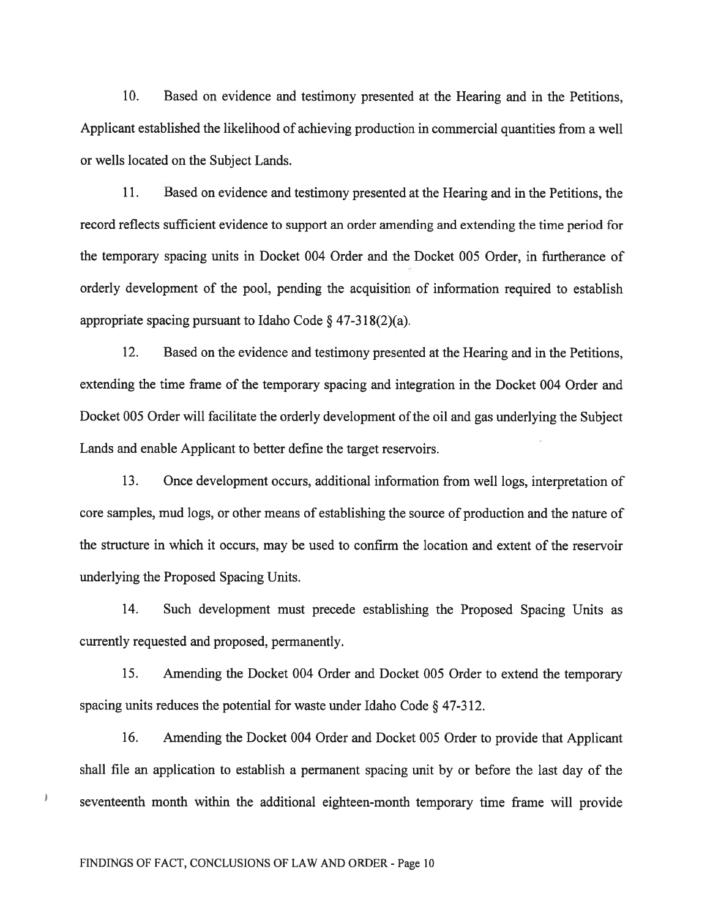10. Based on evidence and testimony presented at the Hearing and in the Petitions, Applicant established the likelihood of achieving production in commercial quantities from <sup>a</sup> well or wells located on the Subject Lands.

11. Based on evidence and testimony presented at the Hearing and in the Petitions, the record reflects sufficient evidence to suppor<sup>t</sup> an order amending and extending the time period for the temporary spacing units in Docket 004 Order and the Docket 005 Order, in furtherance of orderly development of the pool, pending the acquisition of information required to establish appropriate spacing pursuant to Idaho Code  $\S$  47-318(2)(a).

12. Based on the evidence and testimony presented at the Hearing and in the Petitions, extending the time frame of the temporary spacing and integration in the Docket 004 Order and Docket 005 Order will facilitate the orderly development of the oil and gas underlying the Subject Lands and enable Applicant to better define the target reservoirs.

13. Once development occurs, additional information from well logs, interpretation of core samples, mud logs, or other means of establishing the source of production and the nature of the structure in which it occurs, may be used to confirm the location and extent of the reservoir underlying the Proposed Spacing Units.

14. Such development must precede establishing the Proposed Spacing Units as currently requested and proposed, permanently.

15. Amending the Docket 004 Order and Docket 005 Order to extend the temporary spacing units reduces the potential for waste under Idaho Code § 47-312.

16. Amending the Docket 004 Order and Docket 005 Order to provide that Applicant shall file an application to establish <sup>a</sup> permanen<sup>t</sup> spacing unit by or before the last day of the seventeenth month within the additional eighteen-month temporary time frame will provide

FINDiNGS OF FACT, CONCLUSIONS OF LAW AND ORDER - Page 10

 $\lambda$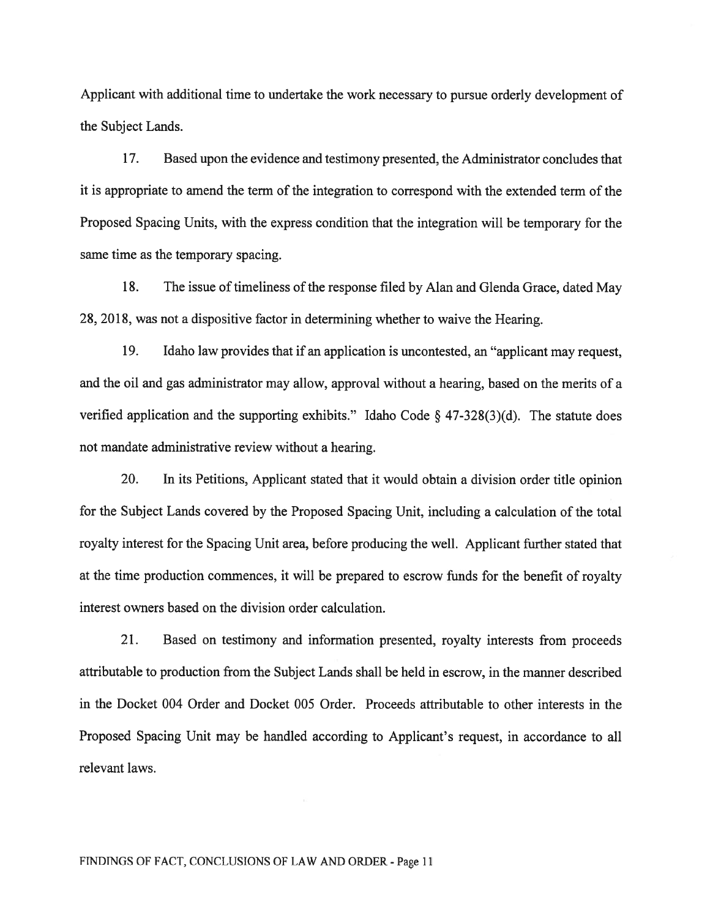Applicant with additional time to undertake the work necessary to pursue orderly development of the Subject Lands.

17. Based upon the evidence and testimony presented, the Administrator concludes that it is appropriate to amend the term of the integration to correspond with the extended term of the Proposed Spacing Units, with the express condition that the integration will be temporary for the same time as the temporary spacing.

18. The issue of timeliness of the response filed by Alan and Glenda Grace, dated May 28, 2018, was not <sup>a</sup> dispositive factor in determining whether to waive the Hearing.

19. Idaho law provides that if an application is uncontested, an "applicant may request, and the oil and gas administrator may allow, approval without <sup>a</sup> hearing, based on the merits of <sup>a</sup> verified application and the supporting exhibits." Idaho Code § 47-328(3)(d). The statute does not mandate administrative review without <sup>a</sup> hearing.

20. In its Petitions, Applicant stated that it would obtain <sup>a</sup> division order title opinion for the Subject Lands covered by the Proposed Spacing Unit, including <sup>a</sup> calculation of the total royalty interest for the Spacing Unit area, before producing the well. Applicant further stated that at the time production commences, it will be prepared to escrow funds for the benefit of royalty interest owners based on the division order calculation.

21. Based on testimony and information presented, royalty interests from proceeds attributable to production from the Subject Lands shall be held in escrow, in the manner described in the Docket 004 Order and Docket 005 Order. Proceeds attributable to other interests in the Proposed Spacing Unit may be handled according to Applicant's request, in accordance to all relevant laws.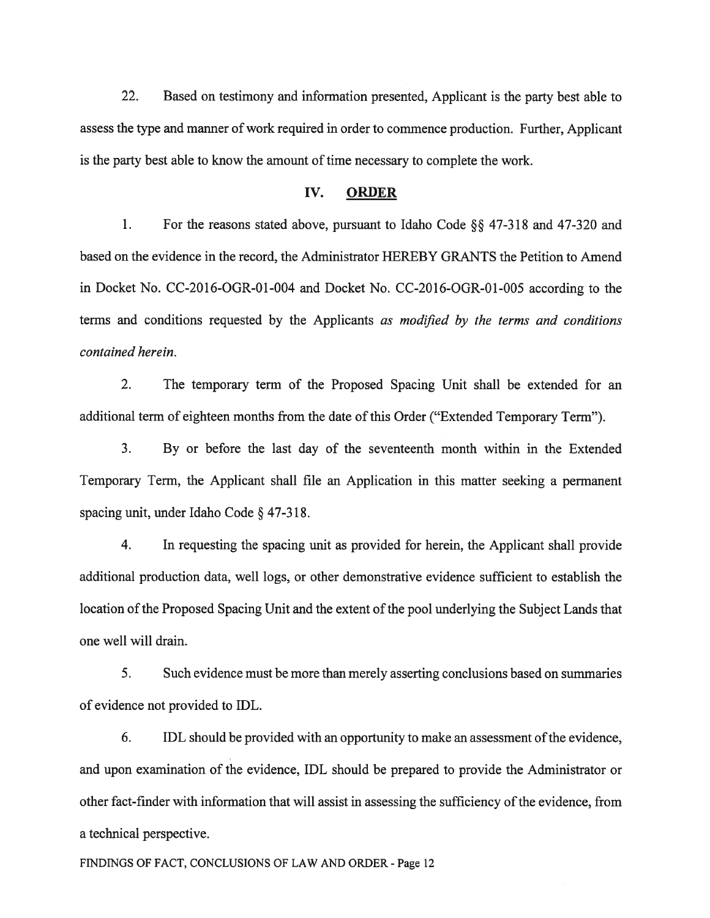22. Based on testimony and information presented, Applicant is the party best able to assess the type and manner of work required in order to commence production. Further, Applicant is the party best able to know the amount of time necessary to complete the work.

## IV. ORDER

1. For the reasons stated above, pursuant to Idaho Code §§ 47-318 and 47-320 and based on the evidence in the record, the Administrator HEREBY GRANTS the Petition to Amend in Docket No. CC-2016-OGR-0l-004 and Docket No. CC-2016-OGR-01-005 according to the terms and conditions requested by the Applicants as modified by the terms and conditions contained herein.

2. The temporary term of the Proposed Spacing Unit shall be extended for an additional term of eighteen months from the date of this Order ("Extended Temporary Term").

3. By or before the last day of the seventeenth month within in the Extended Temporary Term, the Applicant shall file an Application in this matter seeking <sup>a</sup> permanen<sup>t</sup> spacing unit, under Idaho Code § 47-3 18.

4. In requesting the spacing unit as provided for herein, the Applicant shall provide additional production data, well logs, or other demonstrative evidence sufficient to establish the location of the Proposed Spacing Unit and the extent of the pool underlying the Subject Lands that one well will drain.

5. Such evidence must be more than merely asserting conclusions based on summaries of evidence not provided to IDL.

6. IDL should be provided with an opportunity to make an assessment of the evidence, and upon examination of the evidence, IDL should be prepared to provide the Administrator or other fact-finder with information that will assist in assessing the sufficiency of the evidence, from <sup>a</sup> technical perspective.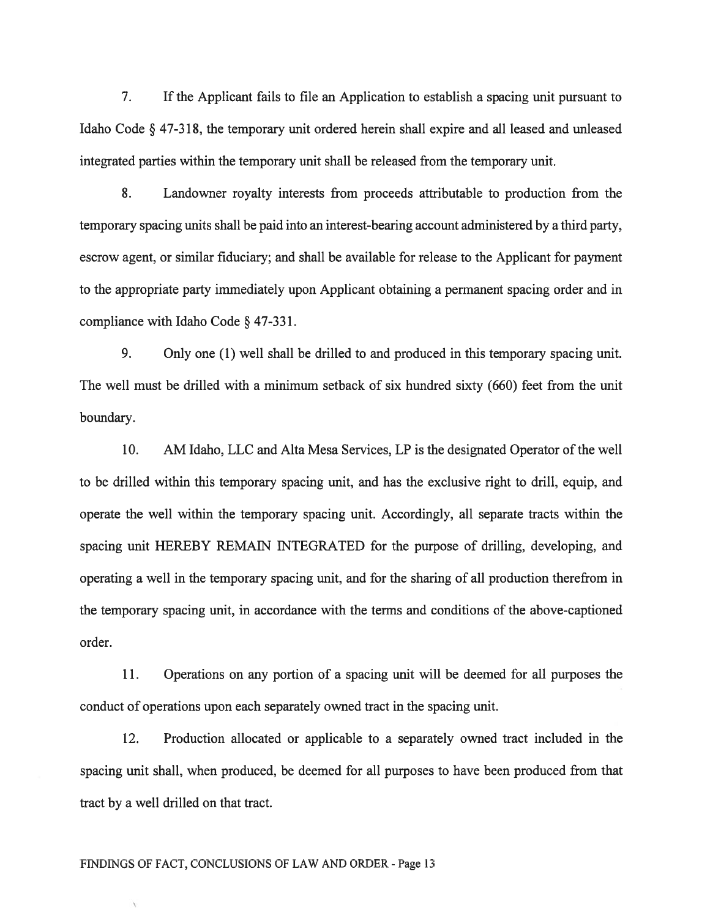7. If the Applicant fails to file an Application to establish <sup>a</sup> spacing unit pursuan<sup>t</sup> to Idaho Code § 47-318, the temporary unit ordered herein shall expire and all leased and unleased integrated parties within the temporary unit shall be released from the temporary unit.

8. Landowner royalty interests from proceeds attributable to production from the temporary spacing units shall be paid into an interest-bearing account administered by <sup>a</sup> third party, escrow agent, or similar fiduciary; and shall be available for release to the Applicant for paymen<sup>t</sup> to the appropriate party immediately upon Applicant obtaining <sup>a</sup> permanen<sup>t</sup> spacing order and in compliance with Idaho Code § 47-331.

9. Only one (1) well shall be drilled to and produced in this temporary spacing unit. The well must be drilled with <sup>a</sup> minimum setback of six hundred sixty (660) feet from the unit boundary.

10. AM Idaho, LLC and Alta Mesa Services, LP is the designated Operator of the well to be drilled within this temporary spacing unit, and has the exclusive right to drill, equip, and operate the well within the temporary spacing unit. Accordingly, all separate tracts within the spacing unit HEREBY REMAN INTEGRATED for the purpose of drilling, developing, and operating <sup>a</sup> well in the temporary spacing unit, and for the sharing of all production therefrom in the temporary spacing unit, in accordance with the terms and conditions of the above-captioned order.

11. Operations on any portion of <sup>a</sup> spacing unit will be deemed for all purposes the conduct of operations upon each separately owned tract in the spacing unit.

12. Production allocated or applicable to <sup>a</sup> separately owned tract included in the spacing unit shall, when produced, be deemed for all purposes to have been produced from that tract by <sup>a</sup> well drilled on that tract.

#### FINDINGS Of FACT, CONCLUSIONS Of LAW AND ORDER - Page 13

 $\backslash$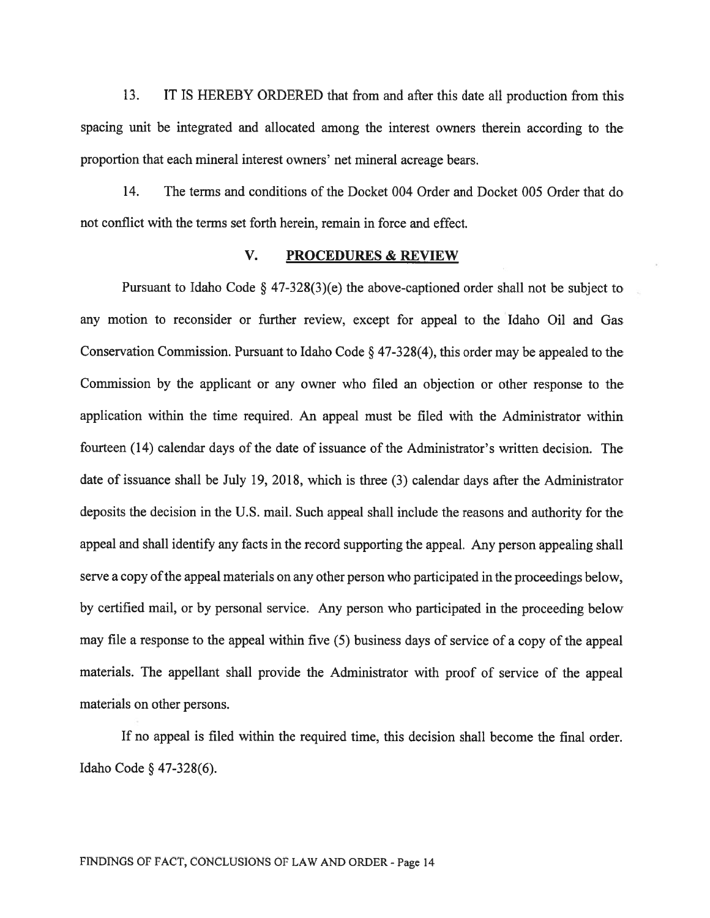13. IT IS HEREBY ORDERED that from and after this date all production from this spacing unit be integrated and allocated among the interest owners therein according to the proportion that each mineral interest owners' net mineral acreage bears.

14. The terms and conditions of the Docket 004 Order and Docket 005 Order that do not conflict with the terms set forth herein, remain in force and effect.

## V. PROCEDURES & REVIEW

Pursuant to Idaho Code  $\S$  47-328(3)(e) the above-captioned order shall not be subject to any motion to reconsider or further review, excep<sup>t</sup> for appeal to the Idaho Oil and Gas Conservation Commission. Pursuant to Idaho Code § 47-328(4), this order may be appealed to the Commission by the applicant or any owner who filed an objection or other response to the application within the time required. An appeal must be filed with the Administrator within fourteen (14) calendar days of the date of issuance of the Administrator's written decision. The date of issuance shall be July 19, 2018, which is three (3) calendar days after the Administrator deposits the decision in the U.S. mail. Such appeal shall include the reasons and authority for the appea<sup>l</sup> and shall identify any facts in the record supporting the appeal. Any person appealing shall serve a copy of the appeal materials on any other person who participated in the proceedings below, by certified mail, or by personal service. Any person who participated in the proceeding below may file <sup>a</sup> response to the appeal within five (5) business days of service of <sup>a</sup> copy of the appeal materials. The appellant shall provide the Administrator with proof of service of the appeal materials on other persons.

If no appeal is filed within the required time, this decision shall become the final order. Idaho Code § 47-328(6).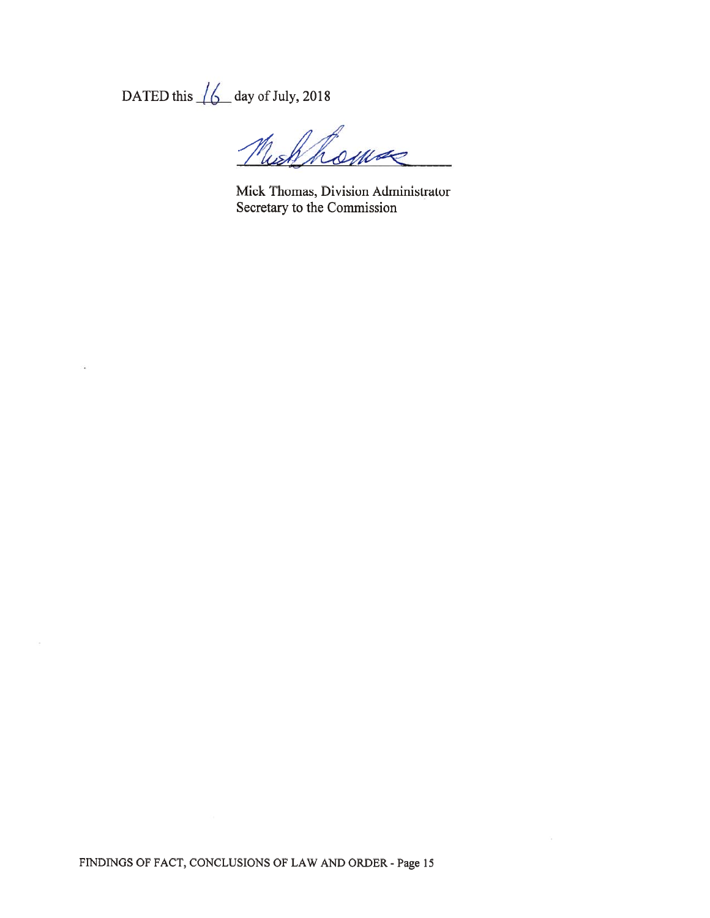DATED this  $\sqrt{\phantom{a}}\phantom{a}$  day of July, 2018

Muchhomse

Mick Thomas, Division Administrator Secretary to the Commission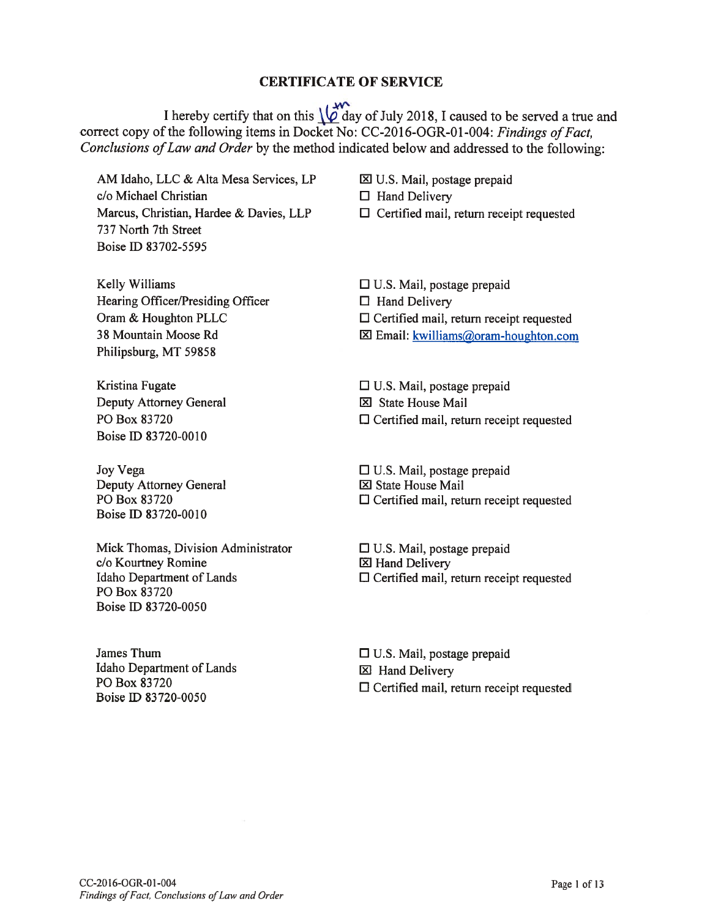# CERTIFICATE OF SERVICE

I hereby certify that on this  $\underbrace{\downarrow \phi}$  day of July 2018, I caused to be served a true and correct copy of the following items in Docket No: CC-2016-OGR-01-004: Findings of Fact, Conclusions of Law and Order by the method indicated below and addressed to the following:

AM Idaho, LLC & Alta Mesa Services, LP **XX U.S. Mail, postage prepaid**  $c/o$  Michael Christian  $\Box$  Hand Delivery Marcus, Christian, Hardee & Davies, LLP  $\Box$  Certified mail, return receipt requested 737 North 7th Street Boise ID 83 702-5595

Kelly Williams  $\Box$  U.S. Mail, postage prepaid Hearing Officer/Presiding Officer  $\Box$  Hand Delivery Philipsburg, MT 5985\$

Deputy Attorney General 12 State House Mail Boise ID 83 720-0010

Deputy Attorney General 12 State House Mail Boise ID 83720-0010

Mick Thomas, Division Administrator  $\Box$  U.S. Mail, postage prepaid c/o Kourtney Romine 12 Hand Delivery P0 Box \$3720 Boise ID 83720-0050

Idaho Department of Lands<br>
PO Box 83720<br>  $\Box$  Hand Delivery<br>  $\Box$  Certified mail

Oram & Houghton PLLC  $\Box$  Certified mail, return receipt requested

38 Mountain Moose Rd 121 Email: kwilliams@oram-houghton.com

Kristina Fugate El U.S. Mail, postage prepaid

PO Box 83720  $\Box$  Certified mail, return receipt requested

Joy Vega  $\Box$  U.S. Mail, postage prepaid PO Box 83720  $\Box$  Certified mail, return receipt requested

Idaho Department of Lands  $\square$  Certified mail, return receipt requested

James Thum  $\Box$  U.S. Mail, postage prepaid PO Box 83720<br>Boise ID 83720-0050<br>Boise ID 83720-0050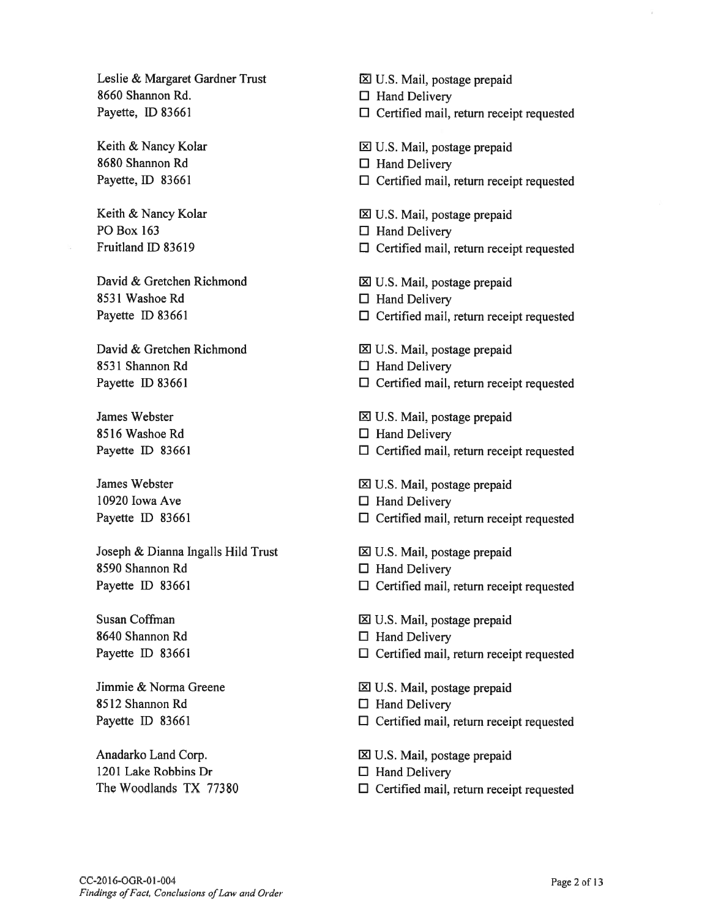Leslie & Margaret Gardner Trust 8660 Shannon Rd. Payette, ID 83661

Keith & Nancy Kolar \$680 Shannon Rd Payette, ID 83661

Keith & Nancy Kolar P0 Box 163 fruitland ID \$3619

David & Gretchen Richmond 8531 Washoe Rd Payette ID 83661

David & Gretchen Richmond \$531 Shannon Rd Payette ID 83661

James Webster \$516 Washoe Rd Payette ID 83661

James Webster 10920 Iowa Ave Payette ID 83661

Joseph & Dianna Ingalls Hild Trust \$590 Shannon Rd Payette ID 83661

Susan Coffman 8640 Shannon Rd Payette ID 83661

Jimmie & Norma Greene \$512 Shannon Rd Payette ID 83661

Anadarko Land Corp. 1201 Lake Robbins Dr The Woodlands TX 77380 U.S. Mail, postage prepaid

 $\Box$  Hand Delivery

- $\Box$  Certified mail, return receipt requested
- 1 U.S. Mail, postage prepaid
- $\Box$  Hand Delivery
- $\Box$  Certified mail, return receipt requested
- U.S. Mail, postage prepaid
- $\Box$  Hand Delivery
- $\Box$  Certified mail, return receipt requested
- U.S. Mail, postage prepaid
- $\Box$  Hand Delivery
- $\Box$  Certified mail, return receipt requested
- I1 U.S. Mail, postage prepaid
- $\Box$  Hand Delivery
- $\square$  Certified mail, return receipt requested
- U.S. Mail, postage prepaid
- $\Box$  Hand Delivery
- $\Box$  Certified mail, return receipt requested
- $\Sigma$  U.S. Mail, postage prepaid
- $\Box$  Hand Delivery
- $\Box$  Certified mail, return receipt requested
- $\boxtimes$  U.S. Mail, postage prepaid
- $\Box$  Hand Delivery
- $\Box$  Certified mail, return receipt requested
- $\Sigma$  U.S. Mail, postage prepaid
- $\Box$  Hand Delivery
- $\Box$  Certified mail, return receipt requested
- 121 U.S. Mail, postage prepaid
- $\Box$  Hand Delivery
- $\Box$  Certified mail, return receipt requested
- $\boxtimes$  U.S. Mail, postage prepaid
- $\Box$  Hand Delivery
- $\Box$  Certified mail, return receipt requested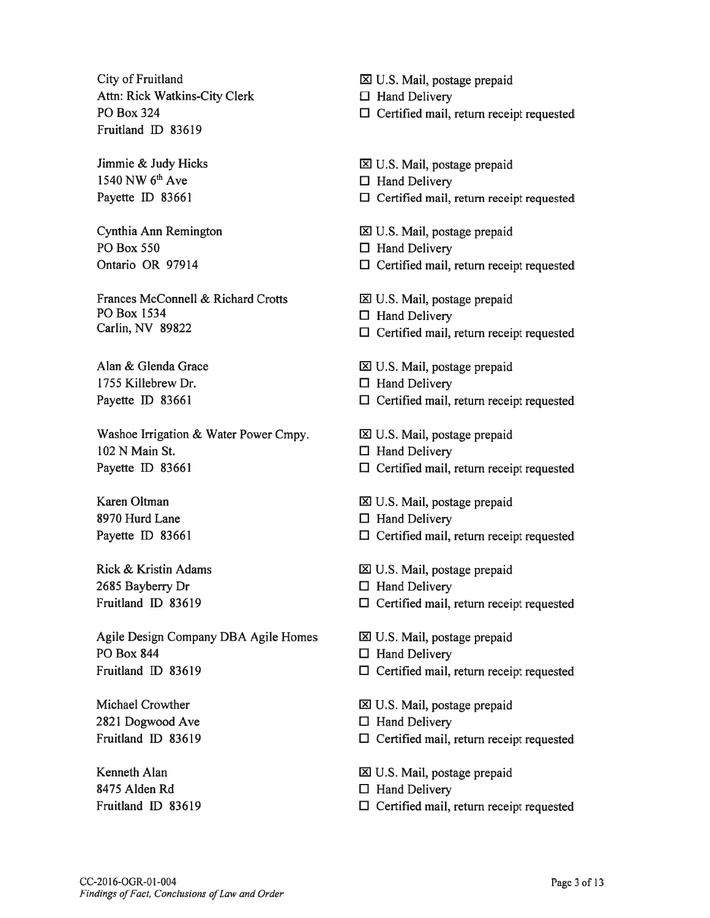City of Fruitland Attn: Rick Watkins-City Clerk P0 Box 324 Fruitland ID 83619

Jimmie & Judy Hicks 1540 NW 6th Ave Payette ID 83661

Cynthia Ann Remington P0 Box 550 Ontario OR 97914

Frances McConnell & Richard Crotts P0 Box 1534 Carlin, NV 89822

Alan & Glenda Grace 1755 Killebrew Dr. Payefte ID 83661

Washoe Irrigation & Water Power Cmpy. 102 N Main St. Payette ID 83661

Karen Oltman 8970 Hurd Lane Payette ID 83661

Rick & Kristin Adams 2685 Bayberry Dr Fruitland ID 83619

Agile Design Company DBA Agile Homes P0 Box 844 Fruitland ID 83619

Michael Crowther 2821 Dogwood Ave fruitland ID 83619

Kenneth Alan 8475 Alden Rd fruitland ID 83619 U.S. Mail, postage prepaid

 $\Box$  Hand Delivery

- $\Box$  Certified mail, return receipt requested
- $\Sigma$  U.S. Mail, postage prepaid
- $\Box$  Hand Delivery
- $\Box$  Certified mail, return receipt requested
- $\boxtimes$  U.S. Mail, postage prepaid
- $\Box$  Hand Delivery
- $\Box$  Certified mail, return receipt requested
- U.S. Mail, postage prepaid
- $\Box$  Hand Delivery
- $\Box$  Certified mail, return receipt requested
- $\boxtimes$  U.S. Mail, postage prepaid
- $\Box$  Hand Delivery
- $\Box$  Certified mail, return receipt requested
- $\Sigma$  U.S. Mail, postage prepaid
- $\Box$  Hand Delivery
- $\Box$  Certified mail, return receipt requested
- 1 U.S. Mail, postage prepaid
- $\square$  Hand Delivery
- $\square$  Certified mail, return receipt requested
- U.S. Mail, postage prepaid
- $\Box$  Hand Delivery
- $\Box$  Certified mail, return receipt requested
- U.S. Mail, postage prepaid
- $\Box$  Hand Delivery
- $\Box$  Certified mail, return receipt requested
- $\boxtimes$  U.S. Mail, postage prepaid
- $\Box$  Hand Delivery
- $\square$  Certified mail, return receipt requested

1 U.S. Mail, postage prepaid

- $\Box$  Hand Delivery
- $\square$  Certified mail, return receipt requested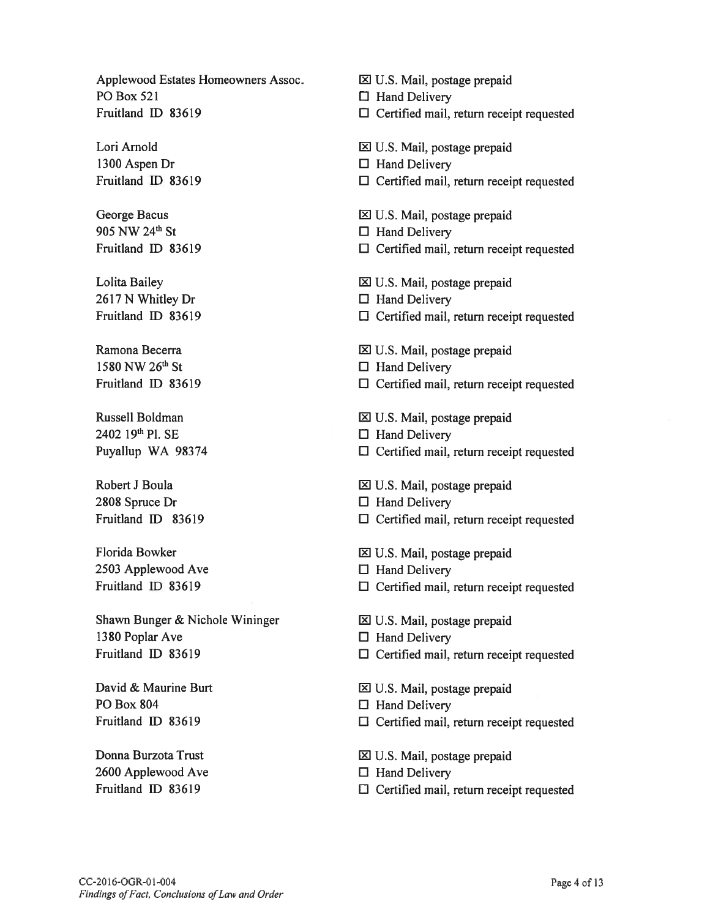Applewood Estates Homeowners Assoc. <br>
<u>El</u> U.S. Mail, postage prepaid PO Box 521  $\Box$  Hand Delivery

 $2402$  19<sup>th</sup> Pl. SE  $\Box$  Hand Delivery

2808 Spruce Dr  $\Box$  Hand Delivery

 $2503$  Applewood Ave  $\Box$  Hand Delivery

Shawn Bunger & Nichole Wininger **III** U.S. Mail, postage prepaid 1380 Poplar Ave  $\Box$  Hand Delivery

PO Box 804  $\Box$  Hand Delivery

 $2600$  Applewood Ave  $\Box$  Hand Delivery

Fruitland ID 83619 El Certified mail, return receipt requested Lori Arnold **Lori Arnold Lori Arnold III** U.S. Mail, postage prepaid 1300 Aspen Dr  $\Box$  Hand Delivery Fruitland ID 83619  $\Box$  Certified mail, return receipt requested George Bacus and all u.S. Mail, postage prepaid 905 NW 24<sup>th</sup> St  $\Box$  Hand Delivery Fruitland ID 83619  $\Box$  Certified mail, return receipt requested Lolita Bailey 1.5. Mail, postage prepaid  $2617 \text{ N}$  Whitley Dr  $\Box$  Hand Delivery Fruitland ID 83619 El Certified mail, return receipt requested Ramona Becerra laterature is a laterature in the laterature in  $\boxtimes$  U.S. Mail, postage prepaid 1580 NW 26<sup>th</sup> St  $\Box$  Hand Delivery Fruitland ID 83619 El Certified mail, return receipt requested Russell Boldman Nussell Boldman Nussell Boldman Nussell Boldman Nussell Boldman Nussell Boldman Nussell Boldman Puyallup WA 98374  $\Box$  Certified mail, return receipt requested Robert J Boula IXI U.S. Mail, postage prepaid Fruitland ID 83619 El Certified mail, return receipt requested Florida Bowker The U.S. Mail, postage prepaid Fruitland ID 83619  $\Box$  Certified mail, return receipt requested Fruitland ID 83619 **El Certified mail, return receipt requested** David & Maurine Burt lZl U.S. Mail, postage prepaid

Fruitland ID 83619 El Certified mail, return receipt requested

Donna Burzota Trust U.S. Mail, postage prepaid

Fruitland ID 83619 **Elding Certified mail, return receipt requested**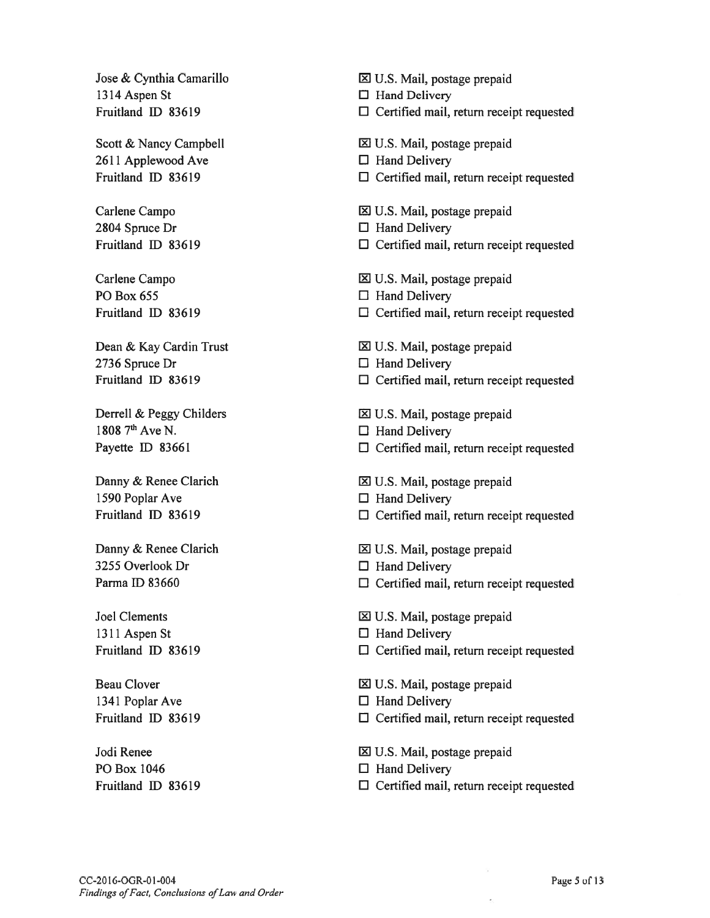1314 Aspen St D Hand Delivery

 $2611$  Applewood Ave  $\Box$  Hand Delivery

2804 Spruce Dr U Hand Delivery

PO Box 655  $\Box$  Hand Delivery

2736 Spruce Dr  $\Box$  Hand Delivery

1808  $7<sup>th</sup>$  Ave N.  $\Box$  Hand Delivery

1590 Poplar Ave  $\Box$  Hand Delivery

 $3255$  Overlook Dr  $\Box$  Hand Delivery

1311 Aspen St  $\Box$  Hand Delivery

1341 Poplar Ave U Hand Delivery

PO Box 1046  $\Box$  Hand Delivery

Jose & Cynthia Camarillo **interval Communist Communist** U.S. Mail, postage prepaid

Fruitland ID 83619  $\Box$  Certified mail, return receipt requested

Scott & Nancy Campbell  $\boxtimes$  U.S. Mail, postage prepaid

- 
- Fruitland ID \$3619 U Certified mail, return receipt requested
- Carlene Campo **in Carlene Campo lxi** U.S. Mail, postage prepaid
	-
- Fruitland ID \$3619 U Certified mail, return receipt requested
- Carlene Campo 1 2 U.S. Mail, postage prepaid
	-
- fruitland ID \$3619 <sup>U</sup> Certified mail, return receipt requested
- Dean & Kay Cardin Trust U.S. Mail, postage prepaid
	-
- Fruitland ID \$3619 U Certified mail, return receipt requested
- Derrell & Peggy Childers and EXIV.S. Mail, postage prepaid
	-
- Payette ID 83661 D Certified mail, return receipt requested
- Danny & Renee Clarich  $\boxtimes$  U.S. Mail, postage prepaid
	-
- Fruitland ID \$3619 <sup>U</sup> Certified mail, return receipt requested
- Danny & Renee Clarich <u>N</u> U.S. Mail, postage prepaid
	-
- Parma ID 83660 U Certified mail, return receipt requested
- Joel Clements lxi U.S. Mail, postage prepaid
	-
- Fruitland ID \$3619 <sup>U</sup> Certified mail, return receipt requested

Beau Clover and LXI U.S. Mail, postage prepaid

- 
- Fruitland ID \$3619 <sup>U</sup> Certified mail, return receipt requested
- Jodi Renee lxi U.S. Mail, postage prepaid
	-
- Fruitland ID \$3619 U Certified mail, return receipt requested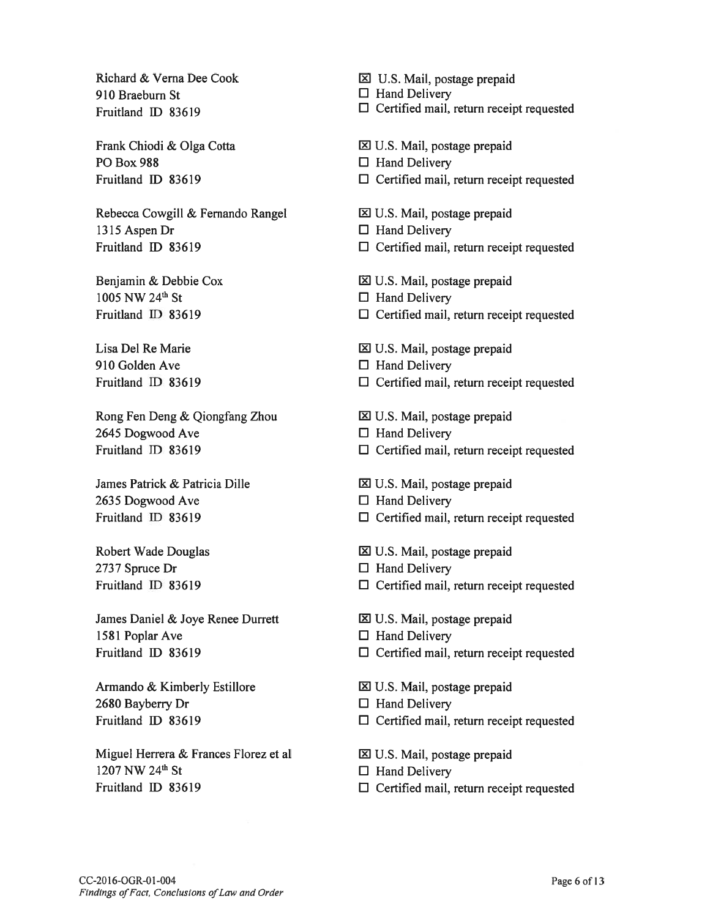Richard & Verna Dee Cook 910 Braeburn St fruitland ID 83619

Frank Chiodi & Olga Cotta PO Box 988 Fruitland ID 83619

Rebecca Cowgill & Fernando Rangel 1315 Aspen Dr fruitland ID \$3619

Benjamin & Debbie Cox  $1005$  NW  $24^{\text{th}}$  St fruitland ID \$3619

Lisa Del Re Marie 910 Golden Ave fruitland ID 83619

Rong Fen Deng & Qiongfang Zhou 2645 Dogwood Ave Fruitland ID 83619

James Patrick & Patricia Dille 2635 Dogwood Ave Fruitland ID 83619

Robert Wade Douglas 2737 Spruce Dr Fruitland ID \$3619

James Daniel & Joye Renee Durrett 1581 Poplar Ave Fruitland ID 83619

Armando & Kimberly Estillore 2680 Bayberry Dr Fruitland ID 83619

Miguel Herrera & Frances Florez et al 1207 NW 24<sup>th</sup> St fruitland ID 83619

 $\Sigma$  U.S. Mail, postage prepaid

 $\Box$  Hand Delivery

- $\Box$  Certified mail, return receipt requested
- l U.S. Mail, postage prepaid
- $\Box$  Hand Delivery
- $\Box$  Certified mail, return receipt requested
- $\Sigma$  U.S. Mail, postage prepaid
- $\Box$  Hand Delivery
- $\Box$  Certified mail, return receipt requested
- l U.S. Mail, postage prepaid
- $\Box$  Hand Delivery
- $\square$  Certified mail, return receipt requested
- $\boxtimes$  U.S. Mail, postage prepaid
- $\Box$  Hand Delivery
- $\Box$  Certified mail, return receipt requested
- $\Sigma$  U.S. Mail, postage prepaid
- $\Box$  Hand Delivery
- $\Box$  Certified mail, return receipt requested
- l U.S. Mail, postage prepaid
- $\Box$  Hand Delivery
- $\Box$  Certified mail, return receipt requested
- $\Sigma$  U.S. Mail, postage prepaid
- $\Box$  Hand Delivery
- $\square$  Certified mail, return receipt requested
- U.S. Mail, postage prepaid
- $\Box$  Hand Delivery
- $\Box$  Certified mail, return receipt requested
- U.S. Mail, postage prepaid
- $\Box$  Hand Delivery
- $\Box$  Certified mail, return receipt requested
- $\boxtimes$  U.S. Mail, postage prepaid
- $\Box$  Hand Delivery
- $\square$  Certified mail, return receipt requested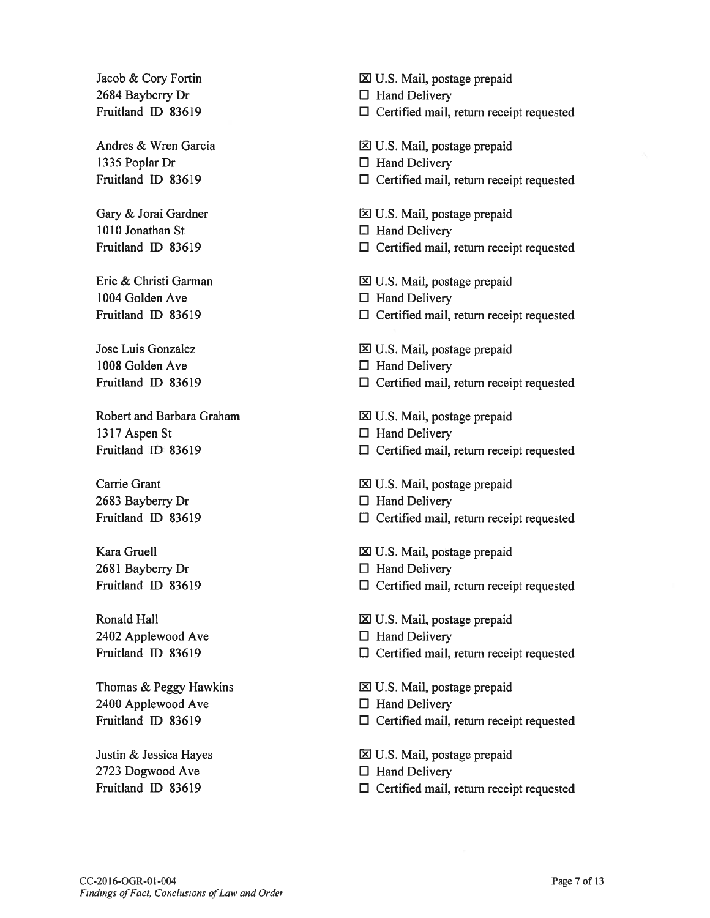$2684$  Bayberry Dr  $\Box$  Hand Delivery

1335 Poplar Dr  $\Box$  Hand Delivery

1010 Jonathan St El Hand Delivery

1004 Golden Ave  $\Box$  Hand Delivery

1008 Golden Ave  $\Box$  Hand Delivery

1317 Aspen St  $\Box$  Hand Delivery

2683 Bayberry Dr  $\Box$  Hand Delivery

 $2681$  Bayberry Dr  $\Box$  Hand Delivery

2402 Applewood Ave  $\Box$  Hand Delivery

2400 Applewood Ave  $\Box$  Hand Delivery

2723 Dogwood Ave  $\Box$  Hand Delivery

Jacob & Cory Fortin  $\boxtimes$  U.S. Mail, postage prepaid

- Fruitland ID 83619 El Certified mail, return receipt requested
- Andres & Wren Garcia U.S. Mail, postage prepaid
	-
- Fruitland ID 83619  $\Box$  Certified mail, return receipt requested
- Gary & Jorai Gardner lyi u.S. Mail, postage prepaid
	-
- Fruitland ID 83619 El Certified mail, return receipt requested
- Eric & Christi Garman U.S. Mail, postage prepaid
	-
- Fruitland ID 83619 El Certified mail, return receipt requested
- Jose Luis Gonzalez **in America** U.S. Mail, postage prepaid
	-
- Fruitland ID 83619  $\Box$  Certified mail, return receipt requested
- Robert and Barbara Graham **in Italya 1988** U.S. Mail, postage prepaid
	-
- Fruitland ID 83619 El Certified mail, return receipt requested
- Carrie Grant lxi U.S. Mail, postage prepaid
	-
- Fruitland ID 83619 **El Certified mail, return receipt requested**
- Kara Gruell **EXECU** U.S. Mail, postage prepaid
	-
- Fruitland ID 83619 **El Certified mail, return receipt requested**
- Ronald Hall **Ronald Hall Ronald Hall Ronald Hall Ronald Hall Ronald Hall Ronald Hall Ronald Hall Ronald Hall Ronald Hall Ronald Hall Ronald Hall Ronald Hall Ronald Hall Ronald Hall Ronald Hall**
	-
- Fruitland ID 83619 El Certified mail, return receipt requested
- Thomas & Peggy Hawkins U.S. Mail, postage prepaid
	-
- Fruitland ID 83619 **El Certified mail, return receipt requested**
- Justin & Jessica Hayes El U.S. Mail, postage prepaid
	-
- Fruitland ID 83619 **El Certified mail, return receipt requested**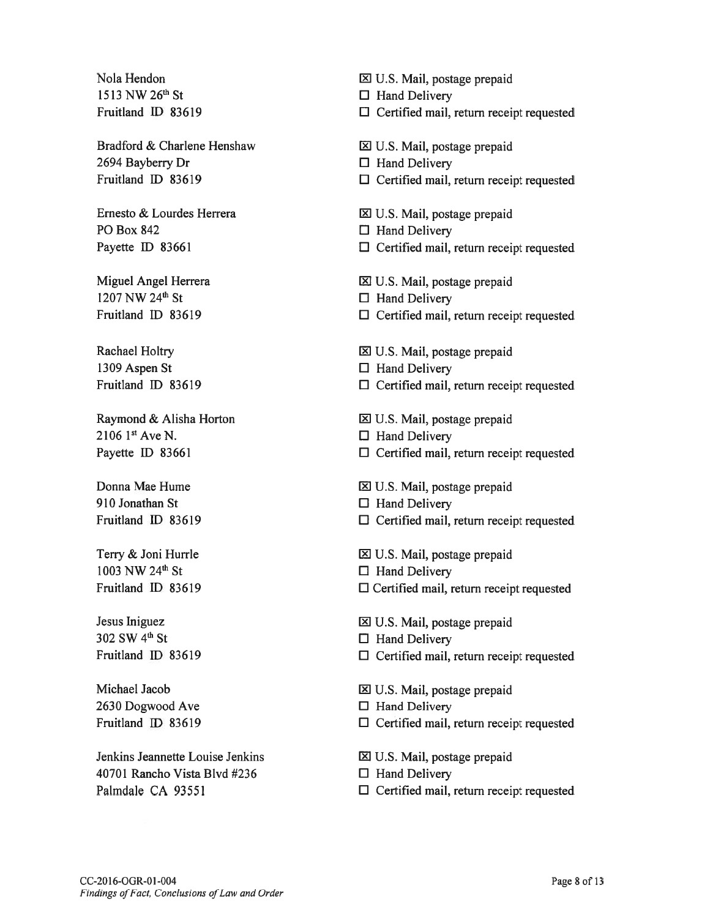Nola Hendon 1513 NW 26<sup>th</sup> St fruitland ID 83619

Bradford & Charlene Henshaw 2694 Bayberry Dr fruitland ID 83619

Ernesto & Lourdes Herrera P0 Box 842 Payette ID 83661

Miguel Angel Herrera 1207 NW 24<sup>th</sup> St fruitland ID 83619

Rachael Holtry 1309 Aspen St Fruitland ID 83619

Raymond & Alisha Horton  $2106$  1st Ave N. Payette ID 83661

Donna Mae Hume 910 Jonathan St Fruitland ID 83619

Terry & Joni Hurrle 1003 NW 24<sup>th</sup> St fruitland ID \$3619

Jesus Iniguez 302 SW 4<sup>th</sup> St Fruitland ID \$3619

Michael Jacob 2630 Dogwood Ave Fruitland ID 83619

Jenkins Jeannette Louise Jenkins 40701 Rancho Vista Blvd #236 Palmdale CA 93551

U.S. Mail, postage prepaid

- $\Box$  Hand Delivery
- $\Box$  Certified mail, return receipt requested
- I1 U.S. Mail, postage prepaid
- $\Box$  Hand Delivery
- $\Box$  Certified mail, return receipt requested
- $\boxtimes$  U.S. Mail, postage prepaid
- $\Box$  Hand Delivery
- $\Box$  Certified mail, return receipt requested
- $\Sigma$  U.S. Mail, postage prepaid
- $\Box$  Hand Delivery
- $\Box$  Certified mail, return receipt requested
- U.S. Mail, postage prepaid
- $\Box$  Hand Delivery
- $\Box$  Certified mail, return receipt requested
- $\Sigma$  U.S. Mail, postage prepaid
- $\Box$  Hand Delivery
- $\Box$  Certified mail, return receipt requested
- U.S. Mail, postage prepaid
- $\Box$  Hand Delivery
- $\Box$  Certified mail, return receipt requested
- I1 U.S. Mail, postage prepaid
- $\Box$  Hand Delivery
- $\Box$  Certified mail, return receipt requested
- U.S. Mail, postage prepaid
- $\Box$  Hand Delivery
- $\Box$  Certified mail, return receipt requested
- U.S. Mail, postage prepaid
- $\Box$  Hand Delivery
- $\Box$  Certified mail, return receipt requested
- i21 U.S. Mail, postage prepaid
- $\Box$  Hand Delivery
- $\Box$  Certified mail, return receipt requested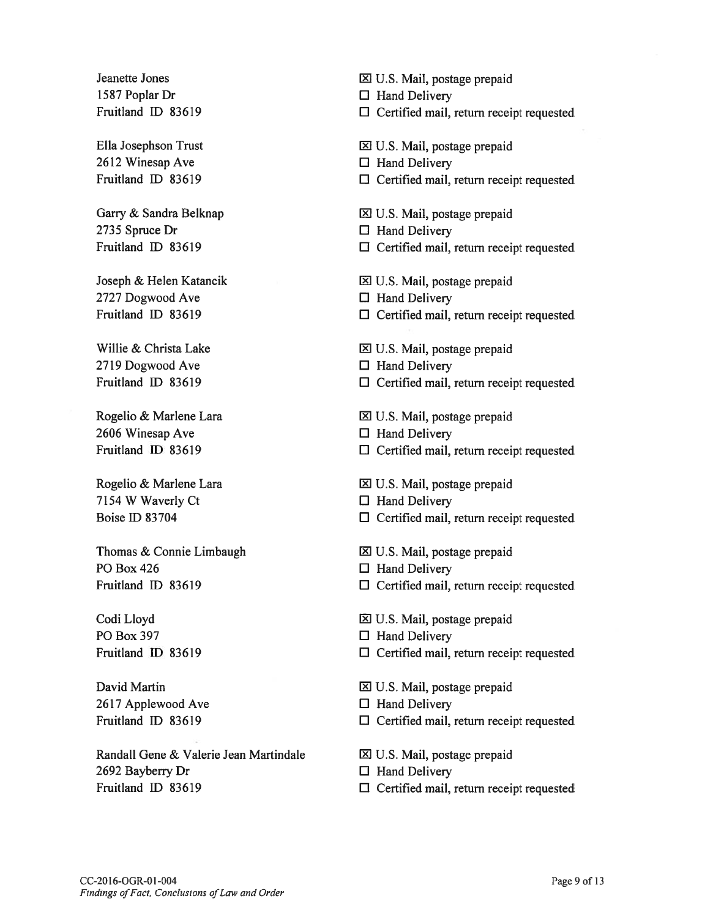1587 Poplar Dr El Hand Delivery

 $2612$  Winesap Ave  $\Box$  Hand Delivery

2735 Spruce Dr  $\Box$  Hand Delivery

 $2727$  Dogwood Ave  $\Box$  Hand Delivery

 $2719$  Dogwood Ave  $\Box$  Hand Delivery

 $2606$  Winesap Ave  $\Box$  Hand Delivery

7154 W Waverly Ct  $\Box$  Hand Delivery

Thomas & Connie Limbaugh  $\boxtimes$  U.S. Mail, postage prepaid PO Box 426  $\Box$  Hand Delivery

PO Box 397 □ Hand Delivery

 $2617$  Applewood Ave  $\Box$  Hand Delivery

RandaLl Gene & Valerie Jean Martindale U.S. Mail, postage prepaid 2692 Bayberry Dr  $\Box$  Hand Delivery Fruitland ID 83619 **El Certified mail, return receipt requested** 

Jeanette Jones E21 U.S. Mail, postage prepaid

Fruitland ID 83619 El Certified mail, return receipt requested

Ella Josephson Trust July 1988 U.S. Mail, postage prepaid

- 
- Fruitland ID 83619 **El Certified mail, return receipt requested**
- Garry & Sandra Belknap 
IV.S. Mail, postage prepaid
	-
- Fruitland ID 83619 El Certified mail, return receipt requested
- Joseph & Helen Katancik U.S. Mail, postage prepaid
	-
- Fruitland ID 83619 El Certified mail, return receipt requested
- Willie & Christa Lake  $\boxtimes$  U.S. Mail, postage prepaid
	-
- Fruitland ID 83619 **El Certified mail, return receipt requested**
- Rogelio & Marlene Lara IXI U.S. Mail, postage prepaid
	-
- Fruitland ID 83619 **Election** El Certified mail, return receipt requested
- Rogelio & Marlene Lara U.S. Mail, postage prepaid
	-
- Boise ID 83704 **Eldies** Certified mail, return receipt requested
	-
	-
- Fruitland ID 83619  $\Box$  Certified mail, return receipt requested
- Codi Lloyd Codi Lloyd Codi Lloyd Codi Lloyd Codi Lloyd Codi Lloyd Codi Lloyd Codi Lloyd Codi Lloyd Codi Lloyd
	-
- Fruitland ID 83619 **El Certified mail, return receipt requested**
- David Martin 2008 COM David Martin 2009 COM David Martin 2009 COM David Martin 2009 COM David Martin 2009 COM D
	-
- Fruitland ID 83619 El Certified mail, return receipt requested
	-
	-
	-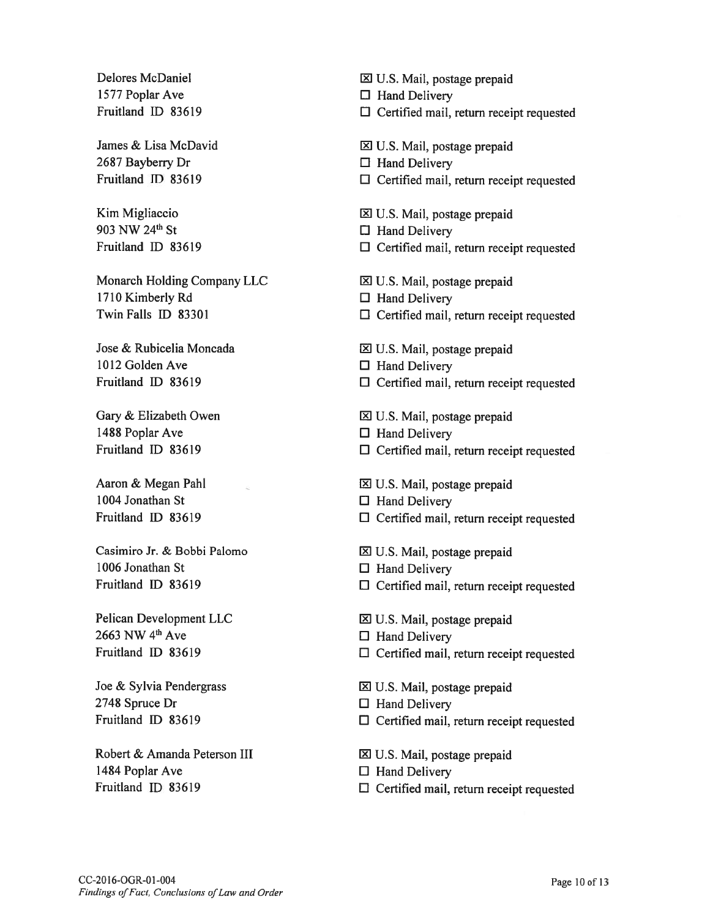1577 Poplar Ave  $\Box$  Hand Delivery

 $2687$  Bayberry Dr  $\Box$  Hand Delivery

903 NW 24<sup>th</sup> St  $\Box$  Hand Delivery

Monarch Holding Company LLC <br> **EX** U.S. Mail, postage prepaid 1710 Kimberly Rd **El Hand Delivery** 

1012 Golden Ave □ El Hand Delivery

1488 Poplar Ave  $\Box$  Hand Delivery

1004 Jonathan St **El Hand Delivery** 

Casimiro Jr. & Bobbi Palomo i U.S. Mail, postage prepaid 1006 Jonathan St  $\Box$  Hand Delivery

 $2663$  NW 4<sup>th</sup> Ave  $\Box$  Hand Delivery

2748 Spruce Dr  $\Box$  Hand Delivery

Robert & Amanda Peterson III <br>  $\boxtimes$  U.S. Mail, postage prepaid 1484 Poplar Ave  $\Box$  Hand Delivery

Delores McDaniel **EX** U.S. Mail, postage prepaid

Fruitland ID 83619 **El Certified mail, return receipt requested** 

James & Lisa McDavid GI U.S. Mail, postage prepaid

- 
- Fruitland ID 83619 El Certified mail, return receipt requested
- Kim Migliaccio 1 1 U.S. Mail, postage prepaid
	-
- Fruitland ID 83619  $\Box$  Certified mail, return receipt requested
	-
	-
- Twin Falls ID 83301 El Certified mail, return receipt requested
- Jose & Rubicelia Moncada land **III U.S. Mail, postage prepaid** 
	-
- Fruitland ID 83619 El Certified mail, return receipt requested
- Gary & Elizabeth Owen <br>
<u>IZ</u> U.S. Mail, postage prepaid
	-
- Fruitland ID 83619 **El Certified mail, return receipt requested**
- Aaron & Megan Pahl  $\boxtimes$  U.S. Mail, postage prepaid
	-
- Fruitland ID 83619 **El Certified mail, return receipt requested** 
	-
	-
- Fruitland ID 83619  $\Box$  Certified mail, return receipt requested
- Pelican Development LLC <br> **EX** U.S. Mail, postage prepaid
	-
- Fruitland ID 83619 **Election** El Certified mail, return receipt requested
- Joe & Sylvia Pendergrass Joe & Sylvia Pendergrass Joe B. Mail, postage prepaid
	-
- Fruitland ID 83619 **El Certified mail, return receipt requested** 
	-
	-
- Fruitland ID 83619  $\Box$  Certified mail, return receipt requested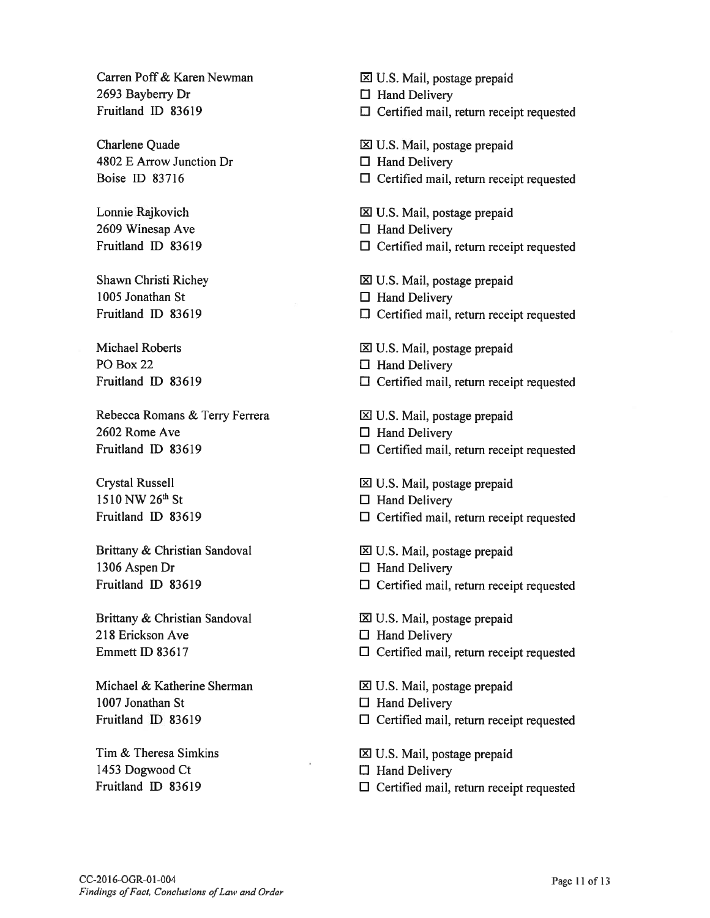Carren Poff & Karen Newman **is a compact of Executive Carren Port & Karen Newman lack Carren Constant** Executive Constants Carrier and Carrier Constants Carrier and Carrier and Carrier and Carrier and Carrier and Carrier 2693 Bayberry Dr  $\Box$  Hand Delivery

 $4802$  E Arrow Junction Dr  $\Box$  Hand Delivery

 $2609$  Winesap Ave  $\Box$  Hand Delivery

1005 Jonathan St U Hand Delivery

PO Box 22  $\Box$  Hand Delivery

Rebecca Romans & Terry ferrera El U.S. Mail, postage prepaid 2602 Rome Ave  $\Box$  Hand Delivery

1510 NW 26<sup>th</sup> St  $\Box$  Hand Delivery

Brittany & Christian Sandoval <br>
El U.S. Mail, postage prepaid 1306 Aspen Dr U Hand Delivery

Brittany & Christian Sandoval **EL U.S. Mail, postage prepaid** 218 Erickson Ave <sup>U</sup> Hand Delivery

Michael & Katherine Sherman 
El U.S. Mail, postage prepaid 1007 Jonathan St  $\Box$  Hand Delivery

1453 Dogwood Ct <sup>U</sup> Hand Delivery

fruitland ID \$3619 <sup>U</sup> Certified mail, return receipt requested

Charlene Quade late is a control of the late of the late of the late of the late of the late of the late of the late of the late of the late of the late of the late of the late of the late of the late of the late of the la

- 
- Boise ID \$3716 <sup>U</sup> Certified mail, return receipt requested
- Lonnie Rajkovich <u>IZI U.S. Mail, postage prepaid</u>
	-
- Fruitland ID \$3619 <sup>U</sup> Certified mail, return receipt requested
- Shawn Christi Richey **El U.S. Mail, postage prepaid** 
	-
- Fruitland ID \$3619 <sup>U</sup> Certified mail, return receipt requested
- Michael Roberts El U.S. Mail, postage prepaid
	-
- Fruitland ID 83619 El Certified mail, return receipt requested
	-
	-
- Fruitland ID 83619  $\Box$  Certified mail, return receipt requested
- Crystal Russell El U.S. Mail, postage prepaid
	-
- Fruitland ID 83619 <sup>U</sup> Certified mail, return receipt requested
	-
	-
- Fruitland ID \$3619 <sup>U</sup> Certified mail, return receipt requested
	-
	-
- Emmett ID \$3617 <sup>U</sup> Certified mail, return receipt requested
	-
	-
- Fruitland ID \$3619 <sup>U</sup> Certified mail, return receipt requested
- Tim & Theresa Simkins El U.S. Mail, postage prepaid
	-
- Fruitland ID \$3619 <sup>U</sup> Certified mail, return receipt requested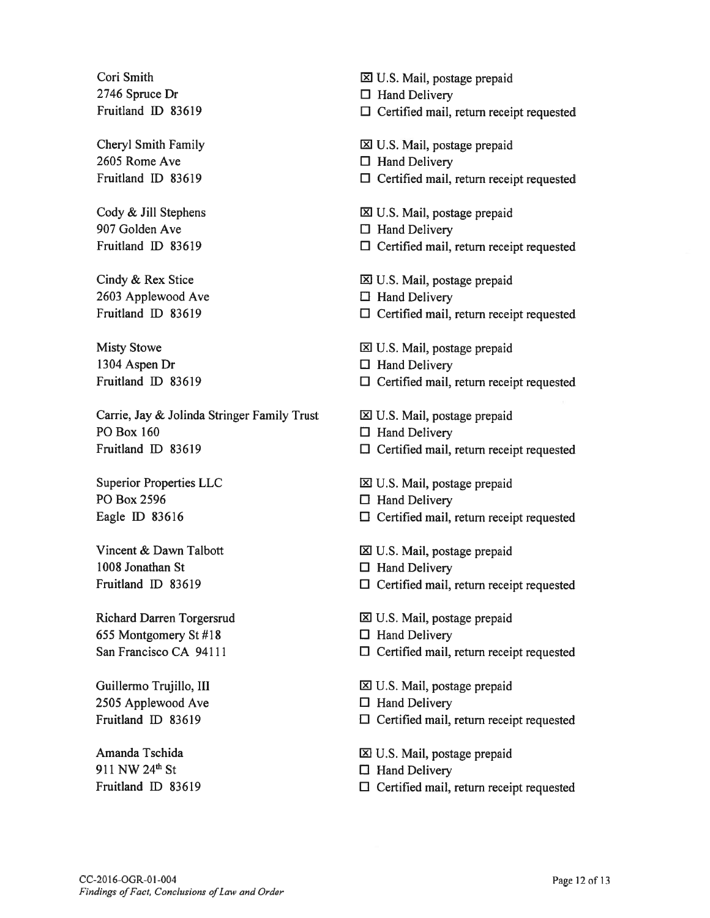2746 Spruce Dr  $\Box$  Hand Delivery

2605 Rome Ave  $\Box$  Hand Delivery

907 Golden Ave **El Hand Delivery** 

 $2603$  Applewood Ave  $\Box$  Hand Delivery

1304 Aspen Dr El Hand Delivery

Carrie, Jay & Jolinda Stringer Family Trust <br>  $\boxtimes$  U.S. Mail, postage prepaid PO Box 160  $\Box$  Hand Delivery Fruitland ID 83619 El Certified mail, return receipt requested

PO Box 2596  $\Box$  Hand Delivery

1008 Jonathan St □ Hand Delivery

655 Montgomery St #18  $\Box$  Hand Delivery

 $2505$  Applewood Ave  $\Box$  Hand Delivery

911 NW 24<sup>th</sup> St  $\Box$  Hand Delivery

Cori Smith  $\boxtimes$  U.S. Mail, postage prepaid

Fruitland ID 83619 **Election** El Certified mail, return receipt requested

Cheryl Smith Family **EX** U.S. Mail, postage prepaid

- 
- Fruitland ID 83619 **El Certified mail, return receipt requested**
- Cody & Jill Stephens 1 2 U.S. Mail, postage prepaid
	-
- Fruitland ID 83619 **El Certified mail, return receipt requested**

Cindy & Rex Stice U.S. Mail, postage prepaid

- 
- Fruitland ID 83619 El Certified mail, return receipt requested
- Misty Stowe U.S. Mail, postage prepaid
	-
- Fruitland ID 83619  $\Box$  Certified mail, return receipt requested
	-
	-
	-
- Superior Properties LLC <br>1 U.S. Mail, postage prepaid
	-
- Eagle ID 83616  $\Box$  Certified mail, return receipt requested
- Vincent & Dawn Talbott U.S. Mail, postage prepaid
	-
- Fruitland ID 83619  $\Box$  Certified mail, return receipt requested
- Richard Darren Torgersrud i: iii U.S. Mail, postage prepaid
	-
- San Francisco CA 94111  $\Box$  Certified mail, return receipt requested
- Guillermo Trujillo, III lands and Equation in the U.S. Mail, postage prepaid
	-
- Fruitland ID 83619  $\Box$  Certified mail, return receipt requested
- Amanda Tschida **I. Amanda Tschida** U.S. Mail, postage prepaid
	-
- Fruitland ID 83619 El Certified mail, return receipt requested